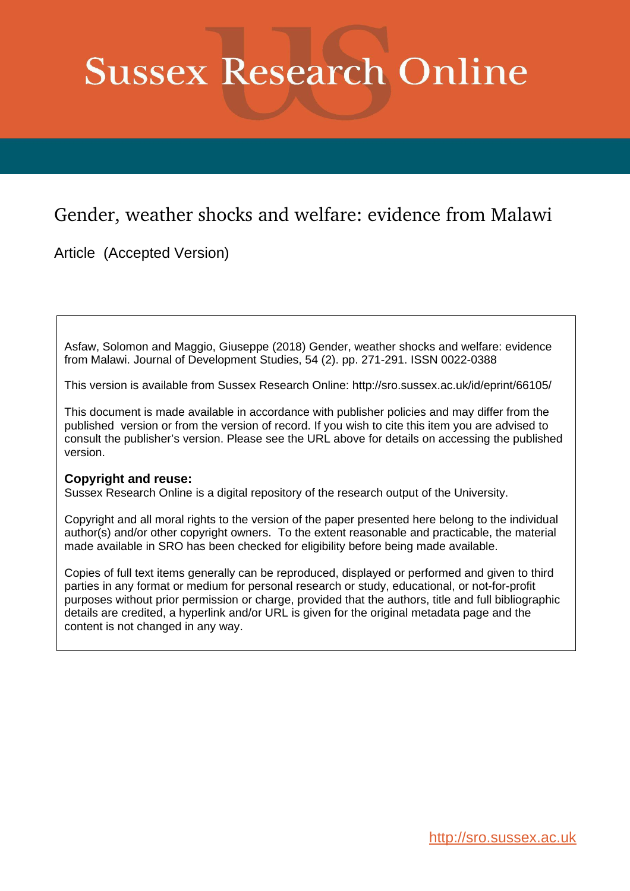# **Sussex Research Online**

# Gender, weather shocks and welfare: evidence from Malawi

Article (Accepted Version)

Asfaw, Solomon and Maggio, Giuseppe (2018) Gender, weather shocks and welfare: evidence from Malawi. Journal of Development Studies, 54 (2). pp. 271-291. ISSN 0022-0388

This version is available from Sussex Research Online: http://sro.sussex.ac.uk/id/eprint/66105/

This document is made available in accordance with publisher policies and may differ from the published version or from the version of record. If you wish to cite this item you are advised to consult the publisher's version. Please see the URL above for details on accessing the published version.

## **Copyright and reuse:**

Sussex Research Online is a digital repository of the research output of the University.

Copyright and all moral rights to the version of the paper presented here belong to the individual author(s) and/or other copyright owners. To the extent reasonable and practicable, the material made available in SRO has been checked for eligibility before being made available.

Copies of full text items generally can be reproduced, displayed or performed and given to third parties in any format or medium for personal research or study, educational, or not-for-profit purposes without prior permission or charge, provided that the authors, title and full bibliographic details are credited, a hyperlink and/or URL is given for the original metadata page and the content is not changed in any way.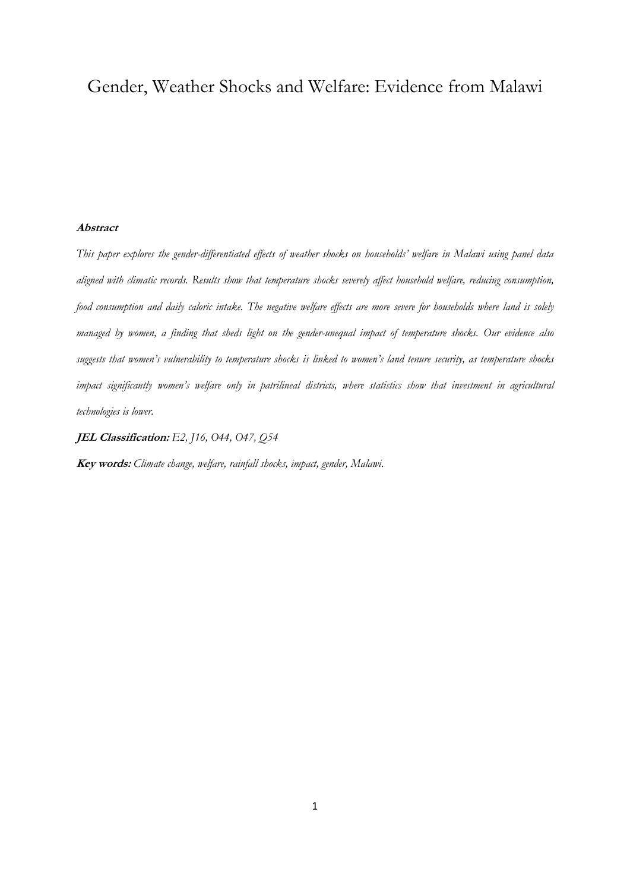# Gender, Weather Shocks and Welfare: Evidence from Malawi

#### **Abstract**

*This paper explores the gender-differentiated effects of weather shocks on households' welfare in Malawi using panel data aligned with climatic records. Results show that temperature shocks severely affect household welfare, reducing consumption, food consumption and daily caloric intake. The negative welfare effects are more severe for households where land is solely managed by women, a finding that sheds light on the gender-unequal impact of temperature shocks. Our evidence also suggests that women's vulnerability to temperature shocks is linked to women's land tenure security, as temperature shocks impact significantly women's welfare only in patrilineal districts, where statistics show that investment in agricultural technologies is lower.* 

**JEL Classification:** *E2, J16, O44, O47, Q54*

**Key words:** *Climate change, welfare, rainfall shocks, impact, gender, Malawi.*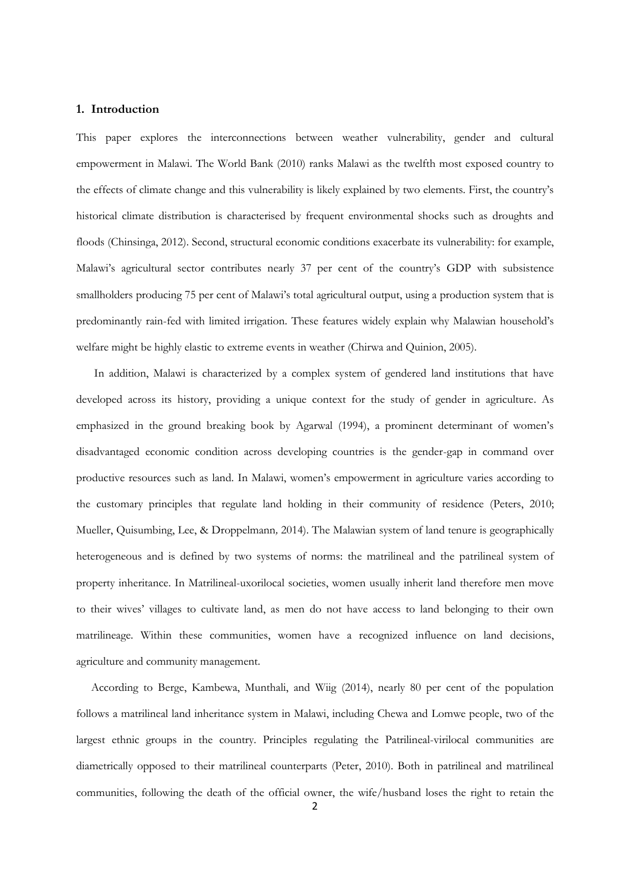#### **1. Introduction**

This paper explores the interconnections between weather vulnerability, gender and cultural empowerment in Malawi. The World Bank (2010) ranks Malawi as the twelfth most exposed country to the effects of climate change and this vulnerability is likely explained by two elements. First, the country's historical climate distribution is characterised by frequent environmental shocks such as droughts and floods (Chinsinga, 2012). Second, structural economic conditions exacerbate its vulnerability: for example, Malawi's agricultural sector contributes nearly 37 per cent of the country's GDP with subsistence smallholders producing 75 per cent of Malawi's total agricultural output, using a production system that is predominantly rain-fed with limited irrigation. These features widely explain why Malawian household's welfare might be highly elastic to extreme events in weather (Chirwa and Quinion, 2005).

In addition, Malawi is characterized by a complex system of gendered land institutions that have developed across its history, providing a unique context for the study of gender in agriculture. As emphasized in the ground breaking book by Agarwal (1994), a prominent determinant of women's disadvantaged economic condition across developing countries is the gender-gap in command over productive resources such as land. In Malawi, women's empowerment in agriculture varies according to the customary principles that regulate land holding in their community of residence (Peters, 2010; Mueller, Quisumbing, Lee, & Droppelmann*,* 2014). The Malawian system of land tenure is geographically heterogeneous and is defined by two systems of norms: the matrilineal and the patrilineal system of property inheritance. In Matrilineal-uxorilocal societies, women usually inherit land therefore men move to their wives' villages to cultivate land, as men do not have access to land belonging to their own matrilineage. Within these communities, women have a recognized influence on land decisions, agriculture and community management.

According to Berge, Kambewa, Munthali, and Wiig (2014), nearly 80 per cent of the population follows a matrilineal land inheritance system in Malawi, including Chewa and Lomwe people, two of the largest ethnic groups in the country. Principles regulating the Patrilineal-virilocal communities are diametrically opposed to their matrilineal counterparts (Peter, 2010). Both in patrilineal and matrilineal communities, following the death of the official owner, the wife/husband loses the right to retain the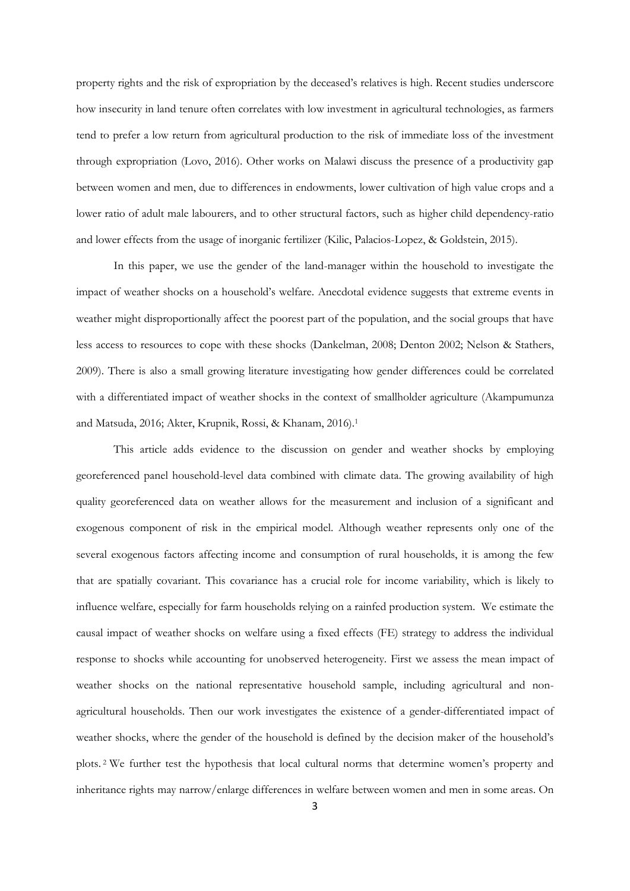property rights and the risk of expropriation by the deceased's relatives is high. Recent studies underscore how insecurity in land tenure often correlates with low investment in agricultural technologies, as farmers tend to prefer a low return from agricultural production to the risk of immediate loss of the investment through expropriation (Lovo, 2016). Other works on Malawi discuss the presence of a productivity gap between women and men, due to differences in endowments, lower cultivation of high value crops and a lower ratio of adult male labourers, and to other structural factors, such as higher child dependency-ratio and lower effects from the usage of inorganic fertilizer (Kilic, Palacios-Lopez, & Goldstein, 2015).

In this paper, we use the gender of the land-manager within the household to investigate the impact of weather shocks on a household's welfare. Anecdotal evidence suggests that extreme events in weather might disproportionally affect the poorest part of the population, and the social groups that have less access to resources to cope with these shocks (Dankelman, 2008; Denton 2002; Nelson & Stathers, 2009). There is also a small growing literature investigating how gender differences could be correlated with a differentiated impact of weather shocks in the context of smallholder agriculture (Akampumunza and Matsuda, 2016; Akter, Krupnik, Rossi, & Khanam, 2016). 1

This article adds evidence to the discussion on gender and weather shocks by employing georeferenced panel household-level data combined with climate data. The growing availability of high quality georeferenced data on weather allows for the measurement and inclusion of a significant and exogenous component of risk in the empirical model. Although weather represents only one of the several exogenous factors affecting income and consumption of rural households, it is among the few that are spatially covariant. This covariance has a crucial role for income variability, which is likely to influence welfare, especially for farm households relying on a rainfed production system. We estimate the causal impact of weather shocks on welfare using a fixed effects (FE) strategy to address the individual response to shocks while accounting for unobserved heterogeneity. First we assess the mean impact of weather shocks on the national representative household sample, including agricultural and nonagricultural households. Then our work investigates the existence of a gender-differentiated impact of weather shocks, where the gender of the household is defined by the decision maker of the household's plots. <sup>2</sup> We further test the hypothesis that local cultural norms that determine women's property and inheritance rights may narrow/enlarge differences in welfare between women and men in some areas. On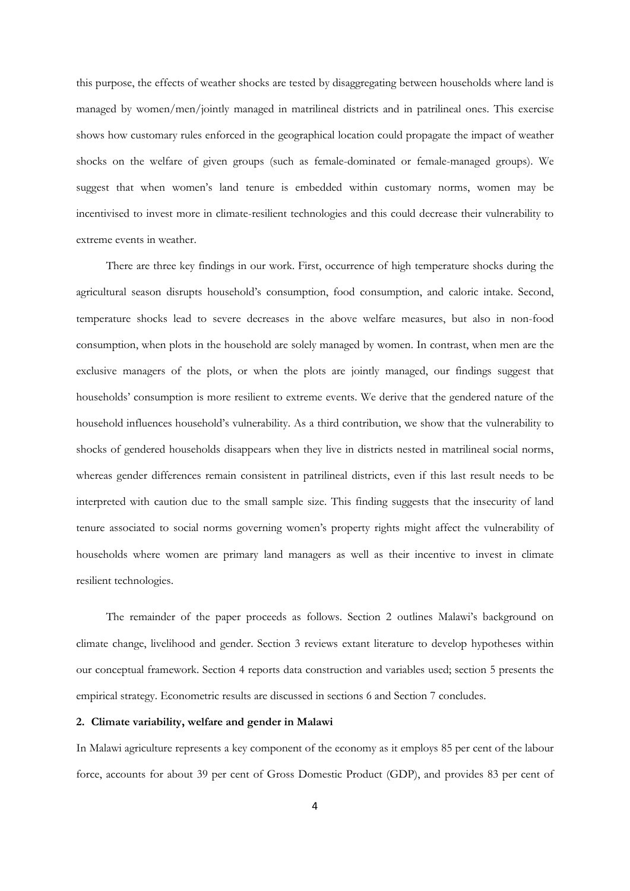this purpose, the effects of weather shocks are tested by disaggregating between households where land is managed by women/men/jointly managed in matrilineal districts and in patrilineal ones. This exercise shows how customary rules enforced in the geographical location could propagate the impact of weather shocks on the welfare of given groups (such as female-dominated or female-managed groups). We suggest that when women's land tenure is embedded within customary norms, women may be incentivised to invest more in climate-resilient technologies and this could decrease their vulnerability to extreme events in weather.

There are three key findings in our work. First, occurrence of high temperature shocks during the agricultural season disrupts household's consumption, food consumption, and caloric intake. Second, temperature shocks lead to severe decreases in the above welfare measures, but also in non-food consumption, when plots in the household are solely managed by women. In contrast, when men are the exclusive managers of the plots, or when the plots are jointly managed, our findings suggest that households' consumption is more resilient to extreme events. We derive that the gendered nature of the household influences household's vulnerability. As a third contribution, we show that the vulnerability to shocks of gendered households disappears when they live in districts nested in matrilineal social norms, whereas gender differences remain consistent in patrilineal districts, even if this last result needs to be interpreted with caution due to the small sample size. This finding suggests that the insecurity of land tenure associated to social norms governing women's property rights might affect the vulnerability of households where women are primary land managers as well as their incentive to invest in climate resilient technologies.

The remainder of the paper proceeds as follows. Section 2 outlines Malawi's background on climate change, livelihood and gender. Section 3 reviews extant literature to develop hypotheses within our conceptual framework. Section 4 reports data construction and variables used; section 5 presents the empirical strategy. Econometric results are discussed in sections 6 and Section 7 concludes.

#### **2. Climate variability, welfare and gender in Malawi**

In Malawi agriculture represents a key component of the economy as it employs 85 per cent of the labour force, accounts for about 39 per cent of Gross Domestic Product (GDP), and provides 83 per cent of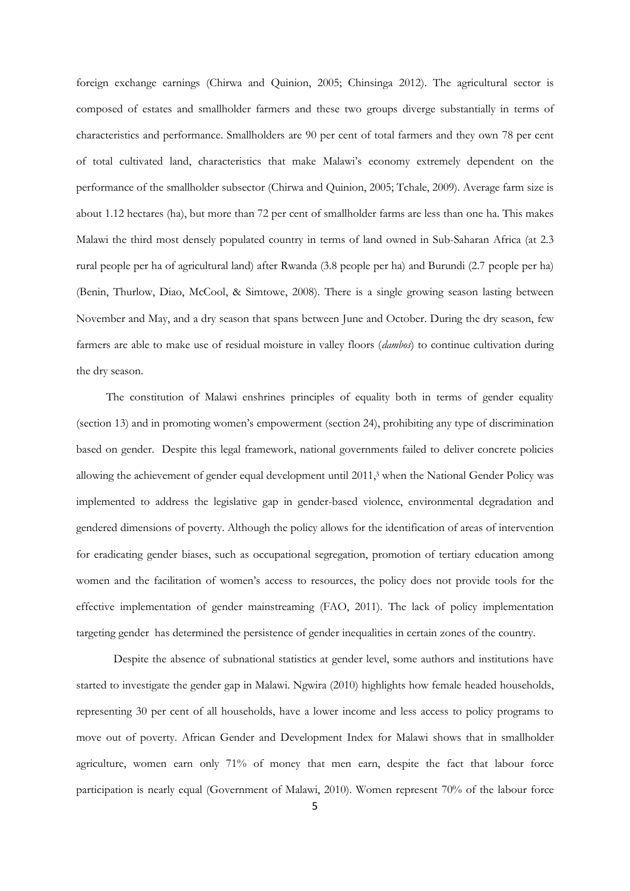foreign exchange earnings (Chirwa and Quinion, 2005; Chinsinga 2012). The agricultural sector is composed of estates and smallholder farmers and these two groups diverge substantially in terms of characteristics and performance. Smallholders are 90 per cent of total farmers and they own 78 per cent of total cultivated land, characteristics that make Malawi's economy extremely dependent on the performance of the smallholder subsector (Chirwa and Quinion, 2005; Tchale, 2009). Average farm size is about 1.12 hectares (ha), but more than 72 per cent of smallholder farms are less than one ha. This makes Malawi the third most densely populated country in terms of land owned in Sub-Saharan Africa (at 2.3 rural people per ha of agricultural land) after Rwanda (3.8 people per ha) and Burundi (2.7 people per ha) (Benin, Thurlow, Diao, McCool, & Simtowe, 2008). There is a single growing season lasting between November and May, and a dry season that spans between June and October. During the dry season, few farmers are able to make use of residual moisture in valley floors (*dambos*) to continue cultivation during the dry season.

The constitution of Malawi enshrines principles of equality both in terms of gender equality (section 13) and in promoting women's empowerment (section 24), prohibiting any type of discrimination based on gender. Despite this legal framework, national governments failed to deliver concrete policies allowing the achievement of gender equal development until 2011,<sup>3</sup> when the National Gender Policy was implemented to address the legislative gap in gender-based violence, environmental degradation and gendered dimensions of poverty. Although the policy allows for the identification of areas of intervention for eradicating gender biases, such as occupational segregation, promotion of tertiary education among women and the facilitation of women's access to resources, the policy does not provide tools for the effective implementation of gender mainstreaming (FAO, 2011). The lack of policy implementation targeting gender has determined the persistence of gender inequalities in certain zones of the country.

Despite the absence of subnational statistics at gender level, some authors and institutions have started to investigate the gender gap in Malawi. Ngwira (2010) highlights how female headed households, representing 30 per cent of all households, have a lower income and less access to policy programs to move out of poverty. African Gender and Development Index for Malawi shows that in smallholder agriculture, women earn only 71% of money that men earn, despite the fact that labour force participation is nearly equal (Government of Malawi, 2010). Women represent 70% of the labour force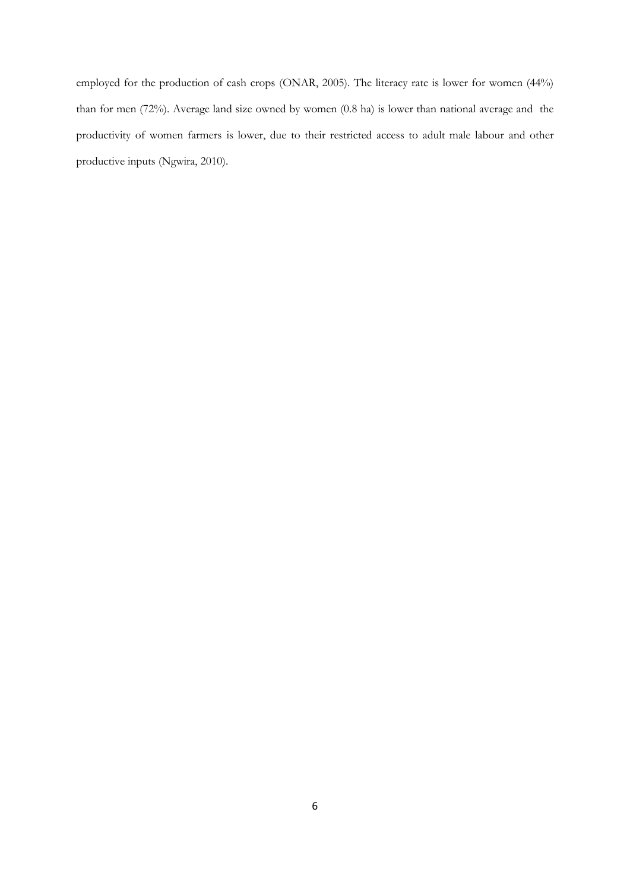employed for the production of cash crops (ONAR, 2005). The literacy rate is lower for women (44%) than for men (72%). Average land size owned by women (0.8 ha) is lower than national average and the productivity of women farmers is lower, due to their restricted access to adult male labour and other productive inputs (Ngwira, 2010).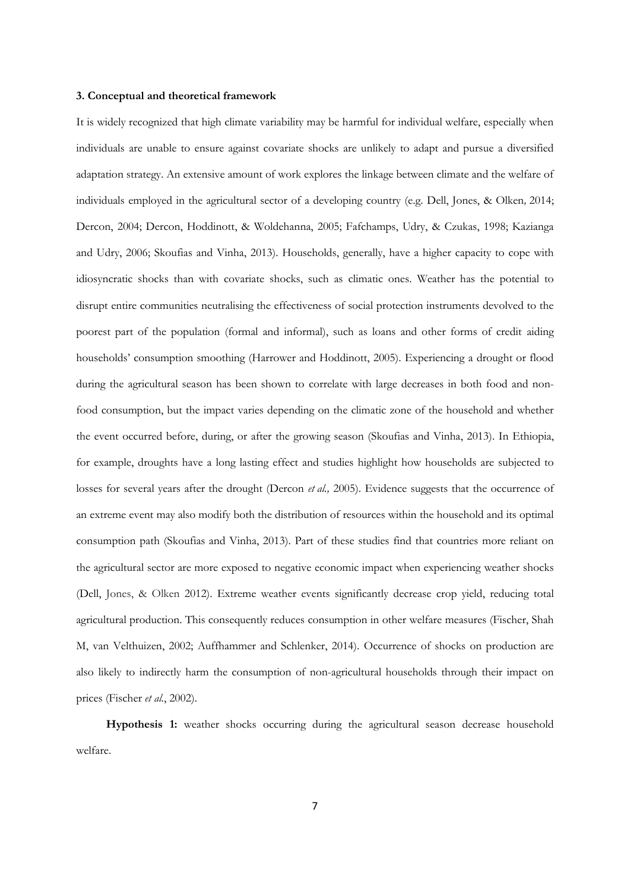#### **3. Conceptual and theoretical framework**

It is widely recognized that high climate variability may be harmful for individual welfare, especially when individuals are unable to ensure against covariate shocks are unlikely to adapt and pursue a diversified adaptation strategy. An extensive amount of work explores the linkage between climate and the welfare of individuals employed in the agricultural sector of a developing country (e.g. Dell, Jones, & Olken*,* 2014; Dercon, 2004; Dercon, Hoddinott, & Woldehanna, 2005; Fafchamps, Udry, & Czukas, 1998; Kazianga and Udry, 2006; Skoufias and Vinha, 2013). Households, generally, have a higher capacity to cope with idiosyncratic shocks than with covariate shocks, such as climatic ones. Weather has the potential to disrupt entire communities neutralising the effectiveness of social protection instruments devolved to the poorest part of the population (formal and informal), such as loans and other forms of credit aiding households' consumption smoothing (Harrower and Hoddinott, 2005). Experiencing a drought or flood during the agricultural season has been shown to correlate with large decreases in both food and nonfood consumption, but the impact varies depending on the climatic zone of the household and whether the event occurred before, during, or after the growing season (Skoufias and Vinha, 2013). In Ethiopia, for example, droughts have a long lasting effect and studies highlight how households are subjected to losses for several years after the drought (Dercon *et al.,* 2005). Evidence suggests that the occurrence of an extreme event may also modify both the distribution of resources within the household and its optimal consumption path (Skoufias and Vinha, 2013). Part of these studies find that countries more reliant on the agricultural sector are more exposed to negative economic impact when experiencing weather shocks (Dell, Jones, & Olken 2012). Extreme weather events significantly decrease crop yield, reducing total agricultural production. This consequently reduces consumption in other welfare measures (Fischer, Shah M, van Velthuizen, 2002; Auffhammer and Schlenker, 2014). Occurrence of shocks on production are also likely to indirectly harm the consumption of non-agricultural households through their impact on prices (Fischer *et al.*, 2002).

**Hypothesis 1:** weather shocks occurring during the agricultural season decrease household welfare.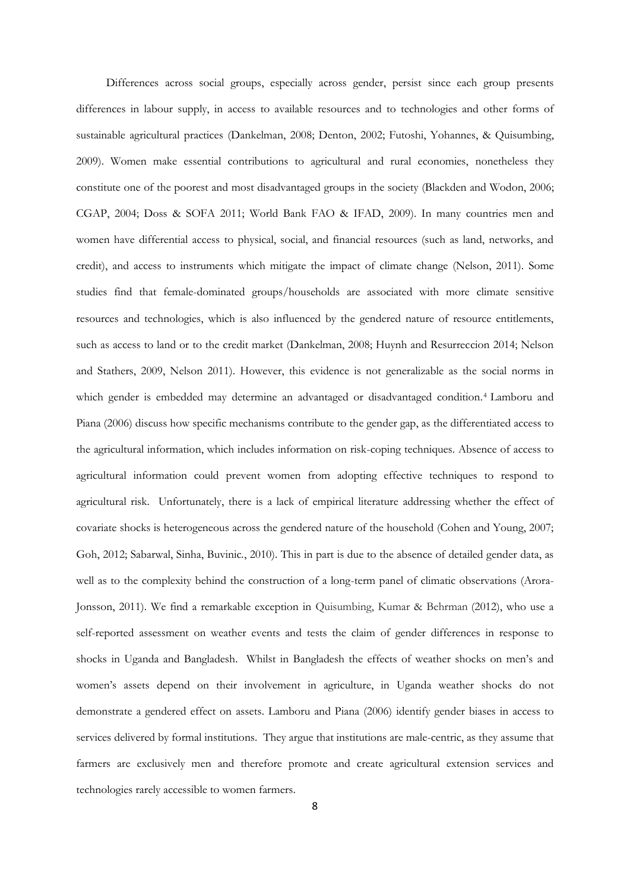Differences across social groups, especially across gender, persist since each group presents differences in labour supply, in access to available resources and to technologies and other forms of sustainable agricultural practices (Dankelman, 2008; Denton, 2002; Futoshi, Yohannes, & Quisumbing, 2009). Women make essential contributions to agricultural and rural economies, nonetheless they constitute one of the poorest and most disadvantaged groups in the society (Blackden and Wodon, 2006; CGAP, 2004; Doss & SOFA 2011; World Bank FAO & IFAD, 2009). In many countries men and women have differential access to physical, social, and financial resources (such as land, networks, and credit), and access to instruments which mitigate the impact of climate change (Nelson, 2011). Some studies find that female-dominated groups/households are associated with more climate sensitive resources and technologies, which is also influenced by the gendered nature of resource entitlements, such as access to land or to the credit market (Dankelman, 2008; Huynh and Resurreccion 2014; Nelson and Stathers, 2009, Nelson 2011). However, this evidence is not generalizable as the social norms in which gender is embedded may determine an advantaged or disadvantaged condition. <sup>4</sup> Lamboru and Piana (2006) discuss how specific mechanisms contribute to the gender gap, as the differentiated access to the agricultural information, which includes information on risk-coping techniques. Absence of access to agricultural information could prevent women from adopting effective techniques to respond to agricultural risk. Unfortunately, there is a lack of empirical literature addressing whether the effect of covariate shocks is heterogeneous across the gendered nature of the household (Cohen and Young, 2007; Goh, 2012; Sabarwal, Sinha, Buvinic*.*, 2010). This in part is due to the absence of detailed gender data, as well as to the complexity behind the construction of a long-term panel of climatic observations (Arora-Jonsson, 2011). We find a remarkable exception in Quisumbing, Kumar & Behrman (2012), who use a self-reported assessment on weather events and tests the claim of gender differences in response to shocks in Uganda and Bangladesh. Whilst in Bangladesh the effects of weather shocks on men's and women's assets depend on their involvement in agriculture, in Uganda weather shocks do not demonstrate a gendered effect on assets. Lamboru and Piana (2006) identify gender biases in access to services delivered by formal institutions. They argue that institutions are male-centric, as they assume that farmers are exclusively men and therefore promote and create agricultural extension services and technologies rarely accessible to women farmers.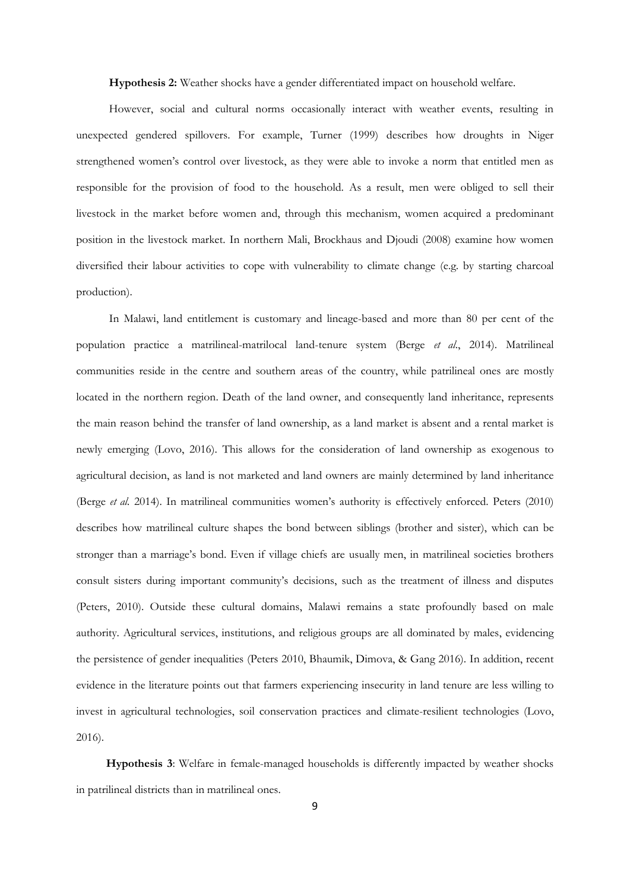**Hypothesis 2:** Weather shocks have a gender differentiated impact on household welfare.

However, social and cultural norms occasionally interact with weather events, resulting in unexpected gendered spillovers. For example, Turner (1999) describes how droughts in Niger strengthened women's control over livestock, as they were able to invoke a norm that entitled men as responsible for the provision of food to the household. As a result, men were obliged to sell their livestock in the market before women and, through this mechanism, women acquired a predominant position in the livestock market. In northern Mali, Brockhaus and Djoudi (2008) examine how women diversified their labour activities to cope with vulnerability to climate change (e.g. by starting charcoal production).

In Malawi, land entitlement is customary and lineage-based and more than 80 per cent of the population practice a matrilineal-matrilocal land-tenure system (Berge *et al*., 2014). Matrilineal communities reside in the centre and southern areas of the country, while patrilineal ones are mostly located in the northern region. Death of the land owner, and consequently land inheritance, represents the main reason behind the transfer of land ownership, as a land market is absent and a rental market is newly emerging (Lovo, 2016). This allows for the consideration of land ownership as exogenous to agricultural decision, as land is not marketed and land owners are mainly determined by land inheritance (Berge *et al.* 2014). In matrilineal communities women's authority is effectively enforced. Peters (2010) describes how matrilineal culture shapes the bond between siblings (brother and sister), which can be stronger than a marriage's bond. Even if village chiefs are usually men, in matrilineal societies brothers consult sisters during important community's decisions, such as the treatment of illness and disputes (Peters, 2010). Outside these cultural domains, Malawi remains a state profoundly based on male authority. Agricultural services, institutions, and religious groups are all dominated by males, evidencing the persistence of gender inequalities (Peters 2010, Bhaumik, Dimova, & Gang 2016). In addition, recent evidence in the literature points out that farmers experiencing insecurity in land tenure are less willing to invest in agricultural technologies, soil conservation practices and climate-resilient technologies (Lovo, 2016).

**Hypothesis 3**: Welfare in female-managed households is differently impacted by weather shocks in patrilineal districts than in matrilineal ones.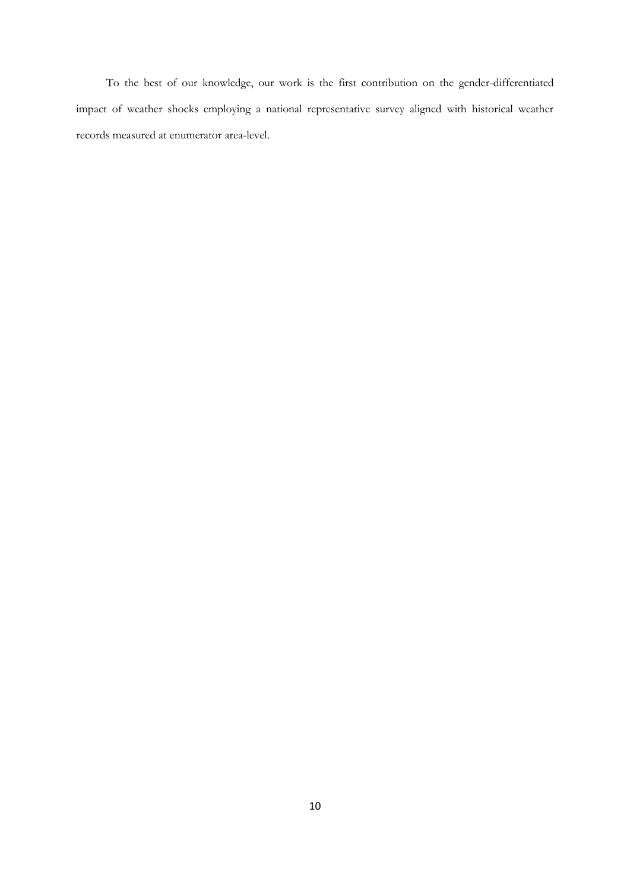To the best of our knowledge, our work is the first contribution on the gender-differentiated impact of weather shocks employing a national representative survey aligned with historical weather records measured at enumerator area-level.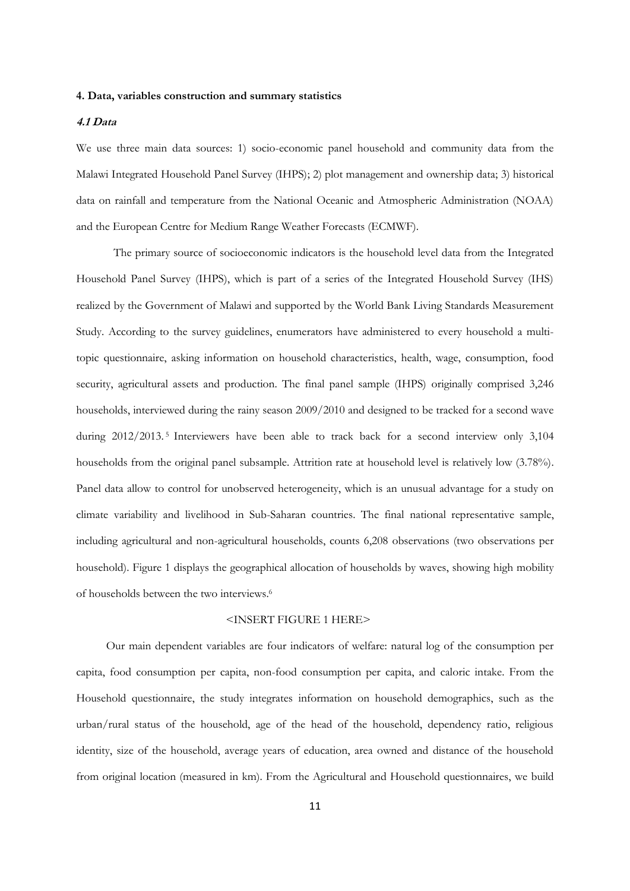#### **4. Data, variables construction and summary statistics**

#### **4.1 Data**

We use three main data sources: 1) socio-economic panel household and community data from the Malawi Integrated Household Panel Survey (IHPS); 2) plot management and ownership data; 3) historical data on rainfall and temperature from the National Oceanic and Atmospheric Administration (NOAA) and the European Centre for Medium Range Weather Forecasts (ECMWF).

The primary source of socioeconomic indicators is the household level data from the Integrated Household Panel Survey (IHPS), which is part of a series of the Integrated Household Survey (IHS) realized by the Government of Malawi and supported by the World Bank Living Standards Measurement Study. According to the survey guidelines, enumerators have administered to every household a multitopic questionnaire, asking information on household characteristics, health, wage, consumption, food security, agricultural assets and production. The final panel sample (IHPS) originally comprised 3,246 households, interviewed during the rainy season 2009/2010 and designed to be tracked for a second wave during 2012/2013.<sup>5</sup> Interviewers have been able to track back for a second interview only 3,104 households from the original panel subsample. Attrition rate at household level is relatively low (3.78%). Panel data allow to control for unobserved heterogeneity, which is an unusual advantage for a study on climate variability and livelihood in Sub-Saharan countries. The final national representative sample, including agricultural and non-agricultural households, counts 6,208 observations (two observations per household). Figure 1 displays the geographical allocation of households by waves, showing high mobility of households between the two interviews. 6

#### <INSERT FIGURE 1 HERE>

Our main dependent variables are four indicators of welfare: natural log of the consumption per capita, food consumption per capita, non-food consumption per capita, and caloric intake. From the Household questionnaire, the study integrates information on household demographics, such as the urban/rural status of the household, age of the head of the household, dependency ratio, religious identity, size of the household, average years of education, area owned and distance of the household from original location (measured in km). From the Agricultural and Household questionnaires, we build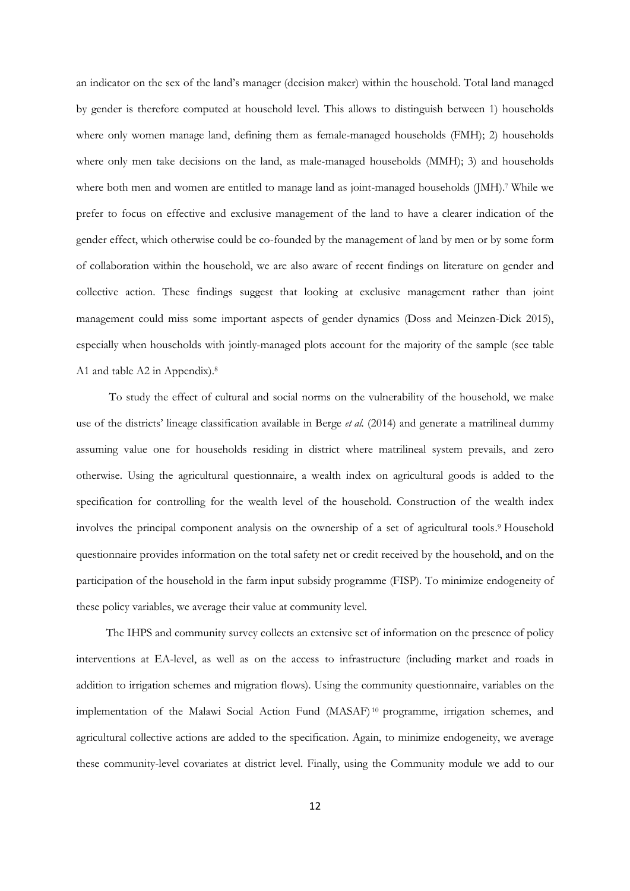an indicator on the sex of the land's manager (decision maker) within the household. Total land managed by gender is therefore computed at household level. This allows to distinguish between 1) households where only women manage land, defining them as female-managed households (FMH); 2) households where only men take decisions on the land, as male-managed households (MMH); 3) and households where both men and women are entitled to manage land as joint-managed households (JMH). <sup>7</sup> While we prefer to focus on effective and exclusive management of the land to have a clearer indication of the gender effect, which otherwise could be co-founded by the management of land by men or by some form of collaboration within the household, we are also aware of recent findings on literature on gender and collective action. These findings suggest that looking at exclusive management rather than joint management could miss some important aspects of gender dynamics (Doss and Meinzen-Dick 2015), especially when households with jointly-managed plots account for the majority of the sample (see table A1 and table A2 in Appendix).<sup>8</sup>

To study the effect of cultural and social norms on the vulnerability of the household, we make use of the districts' lineage classification available in Berge *et al.* (2014) and generate a matrilineal dummy assuming value one for households residing in district where matrilineal system prevails, and zero otherwise. Using the agricultural questionnaire, a wealth index on agricultural goods is added to the specification for controlling for the wealth level of the household. Construction of the wealth index involves the principal component analysis on the ownership of a set of agricultural tools. <sup>9</sup> Household questionnaire provides information on the total safety net or credit received by the household, and on the participation of the household in the farm input subsidy programme (FISP). To minimize endogeneity of these policy variables, we average their value at community level.

The IHPS and community survey collects an extensive set of information on the presence of policy interventions at EA-level, as well as on the access to infrastructure (including market and roads in addition to irrigation schemes and migration flows). Using the community questionnaire, variables on the implementation of the Malawi Social Action Fund (MASAF) <sup>10</sup> programme, irrigation schemes, and agricultural collective actions are added to the specification. Again, to minimize endogeneity, we average these community-level covariates at district level. Finally, using the Community module we add to our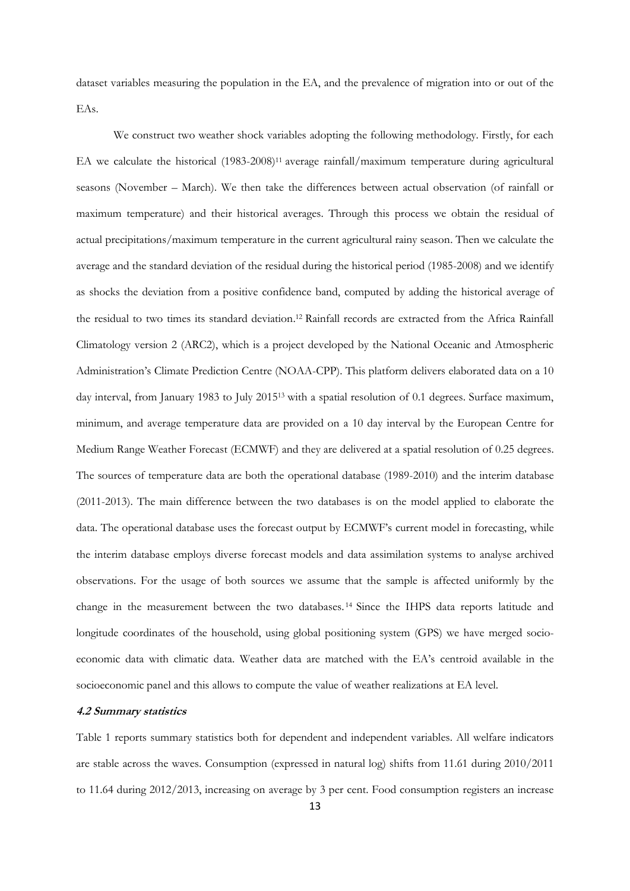dataset variables measuring the population in the EA, and the prevalence of migration into or out of the EAs.

We construct two weather shock variables adopting the following methodology. Firstly, for each EA we calculate the historical (1983-2008)<sup>11</sup> average rainfall/maximum temperature during agricultural seasons (November – March). We then take the differences between actual observation (of rainfall or maximum temperature) and their historical averages. Through this process we obtain the residual of actual precipitations/maximum temperature in the current agricultural rainy season. Then we calculate the average and the standard deviation of the residual during the historical period (1985-2008) and we identify as shocks the deviation from a positive confidence band, computed by adding the historical average of the residual to two times its standard deviation. <sup>12</sup> Rainfall records are extracted from the Africa Rainfall Climatology version 2 (ARC2), which is a project developed by the National Oceanic and Atmospheric Administration's Climate Prediction Centre (NOAA-CPP). This platform delivers elaborated data on a 10 day interval, from January 1983 to July 2015<sup>13</sup> with a spatial resolution of 0.1 degrees. Surface maximum, minimum, and average temperature data are provided on a 10 day interval by the European Centre for Medium Range Weather Forecast (ECMWF) and they are delivered at a spatial resolution of 0.25 degrees. The sources of temperature data are both the operational database (1989-2010) and the interim database (2011-2013). The main difference between the two databases is on the model applied to elaborate the data. The operational database uses the forecast output by ECMWF's current model in forecasting, while the interim database employs diverse forecast models and data assimilation systems to analyse archived observations. For the usage of both sources we assume that the sample is affected uniformly by the change in the measurement between the two databases. <sup>14</sup> Since the IHPS data reports latitude and longitude coordinates of the household, using global positioning system (GPS) we have merged socioeconomic data with climatic data. Weather data are matched with the EA's centroid available in the socioeconomic panel and this allows to compute the value of weather realizations at EA level.

#### **4.2 Summary statistics**

Table 1 reports summary statistics both for dependent and independent variables. All welfare indicators are stable across the waves. Consumption (expressed in natural log) shifts from 11.61 during 2010/2011 to 11.64 during 2012/2013, increasing on average by 3 per cent. Food consumption registers an increase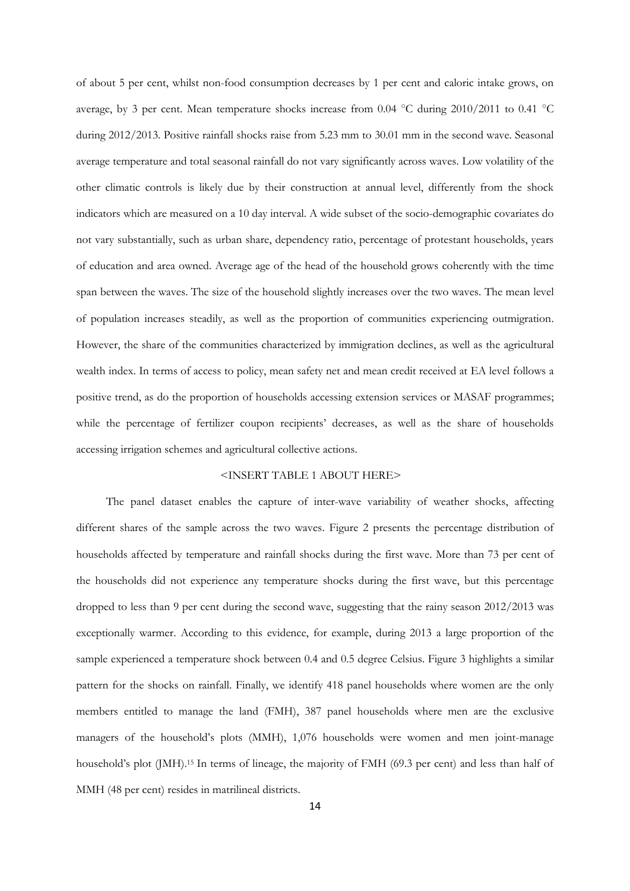of about 5 per cent, whilst non-food consumption decreases by 1 per cent and caloric intake grows, on average, by 3 per cent. Mean temperature shocks increase from 0.04 °C during 2010/2011 to 0.41 °C during 2012/2013. Positive rainfall shocks raise from 5.23 mm to 30.01 mm in the second wave. Seasonal average temperature and total seasonal rainfall do not vary significantly across waves. Low volatility of the other climatic controls is likely due by their construction at annual level, differently from the shock indicators which are measured on a 10 day interval. A wide subset of the socio-demographic covariates do not vary substantially, such as urban share, dependency ratio, percentage of protestant households, years of education and area owned. Average age of the head of the household grows coherently with the time span between the waves. The size of the household slightly increases over the two waves. The mean level of population increases steadily, as well as the proportion of communities experiencing outmigration. However, the share of the communities characterized by immigration declines, as well as the agricultural wealth index. In terms of access to policy, mean safety net and mean credit received at EA level follows a positive trend, as do the proportion of households accessing extension services or MASAF programmes; while the percentage of fertilizer coupon recipients' decreases, as well as the share of households accessing irrigation schemes and agricultural collective actions.

#### <INSERT TABLE 1 ABOUT HERE>

The panel dataset enables the capture of inter-wave variability of weather shocks, affecting different shares of the sample across the two waves. Figure 2 presents the percentage distribution of households affected by temperature and rainfall shocks during the first wave. More than 73 per cent of the households did not experience any temperature shocks during the first wave, but this percentage dropped to less than 9 per cent during the second wave, suggesting that the rainy season 2012/2013 was exceptionally warmer. According to this evidence, for example, during 2013 a large proportion of the sample experienced a temperature shock between 0.4 and 0.5 degree Celsius. Figure 3 highlights a similar pattern for the shocks on rainfall. Finally, we identify 418 panel households where women are the only members entitled to manage the land (FMH), 387 panel households where men are the exclusive managers of the household's plots (MMH), 1,076 households were women and men joint-manage household's plot (JMH). <sup>15</sup> In terms of lineage, the majority of FMH (69.3 per cent) and less than half of MMH (48 per cent) resides in matrilineal districts.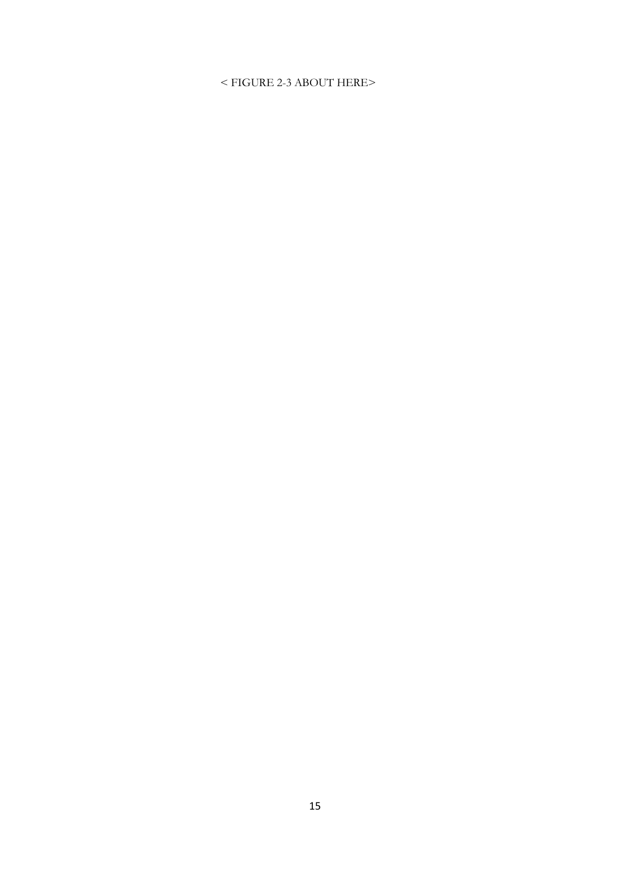## < FIGURE 2-3 ABOUT HERE>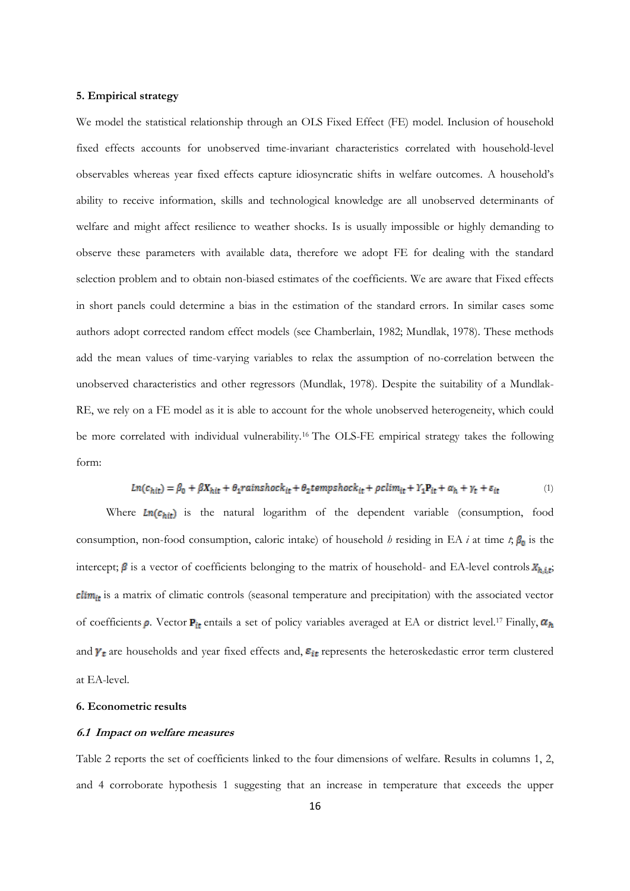#### **5. Empirical strategy**

We model the statistical relationship through an OLS Fixed Effect (FE) model. Inclusion of household fixed effects accounts for unobserved time-invariant characteristics correlated with household-level observables whereas year fixed effects capture idiosyncratic shifts in welfare outcomes. A household's ability to receive information, skills and technological knowledge are all unobserved determinants of welfare and might affect resilience to weather shocks. Is is usually impossible or highly demanding to observe these parameters with available data, therefore we adopt FE for dealing with the standard selection problem and to obtain non-biased estimates of the coefficients. We are aware that Fixed effects in short panels could determine a bias in the estimation of the standard errors. In similar cases some authors adopt corrected random effect models (see Chamberlain, 1982; Mundlak, 1978). These methods add the mean values of time-varying variables to relax the assumption of no-correlation between the unobserved characteristics and other regressors (Mundlak, 1978). Despite the suitability of a Mundlak-RE, we rely on a FE model as it is able to account for the whole unobserved heterogeneity, which could be more correlated with individual vulnerability.<sup>16</sup> The OLS-FE empirical strategy takes the following form:

$$
Ln(c_{hit}) = \beta_0 + \beta X_{hit} + \theta_1 \text{rainshock}_{it} + \theta_2 \text{tempshock}_{it} + \rho \text{clim}_{it} + Y_1 P_{it} + \alpha_h + \gamma_t + \varepsilon_{it}
$$
(1)

Where  $Ln(c_{hit})$  is the natural logarithm of the dependent variable (consumption, food consumption, non-food consumption, caloric intake) of household *h* residing in EA *i* at time *t*;  $\beta_0$  is the intercept;  $\beta$  is a vector of coefficients belonging to the matrix of household- and EA-level controls  $X_{h,i,t}$ ; clim<sub>it</sub> is a matrix of climatic controls (seasonal temperature and precipitation) with the associated vector of coefficients  $\rho$ . Vector  $P_{it}$  entails a set of policy variables averaged at EA or district level.<sup>17</sup> Finally,  $\alpha_h$ and  $\gamma_t$  are households and year fixed effects and,  $\varepsilon_{it}$  represents the heteroskedastic error term clustered at EA-level.

#### **6. Econometric results**

#### **6.1 Impact on welfare measures**

Table 2 reports the set of coefficients linked to the four dimensions of welfare. Results in columns 1, 2, and 4 corroborate hypothesis 1 suggesting that an increase in temperature that exceeds the upper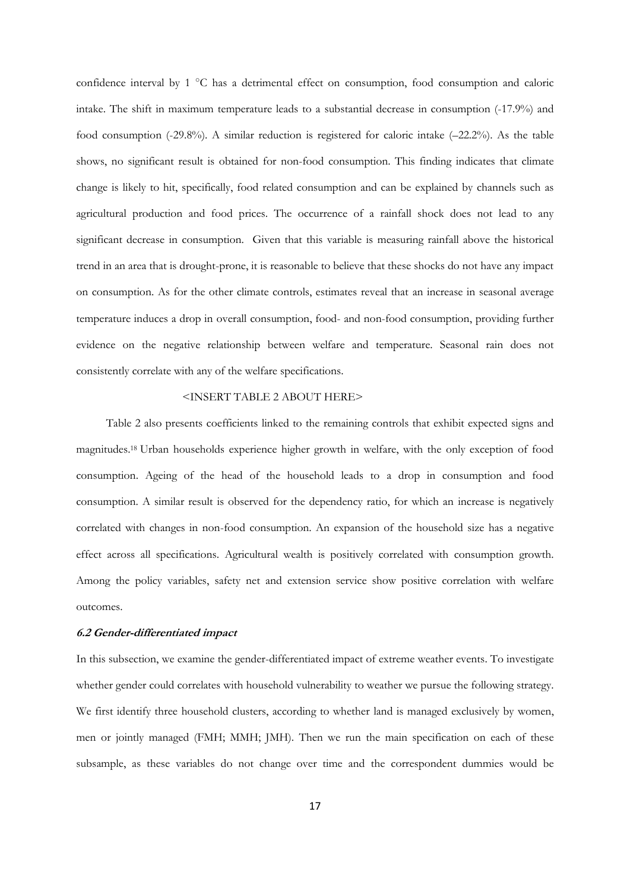confidence interval by 1 °C has a detrimental effect on consumption, food consumption and caloric intake. The shift in maximum temperature leads to a substantial decrease in consumption (-17.9%) and food consumption (-29.8%). A similar reduction is registered for caloric intake (–22.2%). As the table shows, no significant result is obtained for non-food consumption. This finding indicates that climate change is likely to hit, specifically, food related consumption and can be explained by channels such as agricultural production and food prices. The occurrence of a rainfall shock does not lead to any significant decrease in consumption. Given that this variable is measuring rainfall above the historical trend in an area that is drought-prone, it is reasonable to believe that these shocks do not have any impact on consumption. As for the other climate controls, estimates reveal that an increase in seasonal average temperature induces a drop in overall consumption, food- and non-food consumption, providing further evidence on the negative relationship between welfare and temperature. Seasonal rain does not consistently correlate with any of the welfare specifications.

#### <INSERT TABLE 2 ABOUT HERE>

Table 2 also presents coefficients linked to the remaining controls that exhibit expected signs and magnitudes.<sup>18</sup> Urban households experience higher growth in welfare, with the only exception of food consumption. Ageing of the head of the household leads to a drop in consumption and food consumption. A similar result is observed for the dependency ratio, for which an increase is negatively correlated with changes in non-food consumption. An expansion of the household size has a negative effect across all specifications. Agricultural wealth is positively correlated with consumption growth. Among the policy variables, safety net and extension service show positive correlation with welfare outcomes.

#### **6.2 Gender-differentiated impact**

In this subsection, we examine the gender-differentiated impact of extreme weather events. To investigate whether gender could correlates with household vulnerability to weather we pursue the following strategy. We first identify three household clusters, according to whether land is managed exclusively by women, men or jointly managed (FMH; MMH; JMH). Then we run the main specification on each of these subsample, as these variables do not change over time and the correspondent dummies would be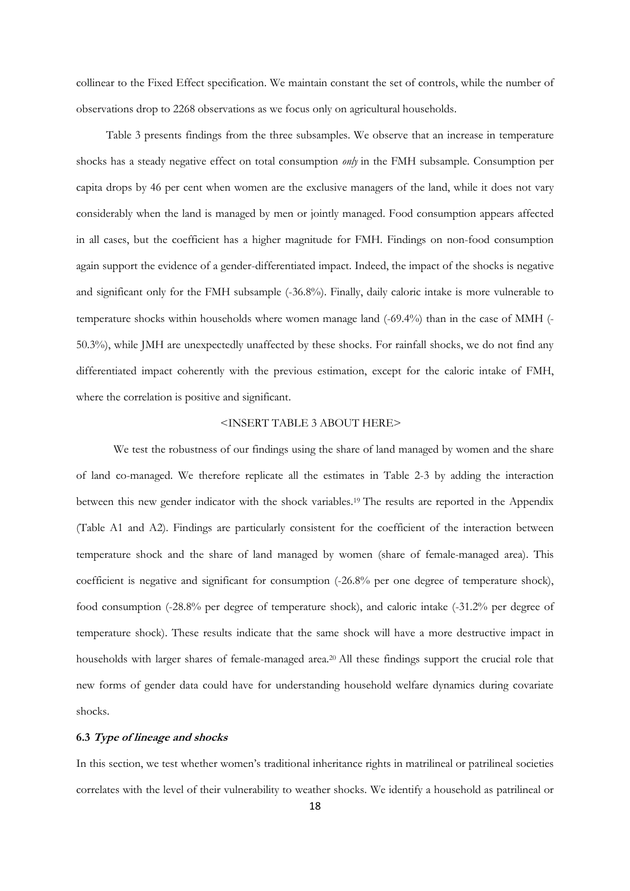collinear to the Fixed Effect specification. We maintain constant the set of controls, while the number of observations drop to 2268 observations as we focus only on agricultural households.

Table 3 presents findings from the three subsamples. We observe that an increase in temperature shocks has a steady negative effect on total consumption *only* in the FMH subsample. Consumption per capita drops by 46 per cent when women are the exclusive managers of the land, while it does not vary considerably when the land is managed by men or jointly managed. Food consumption appears affected in all cases, but the coefficient has a higher magnitude for FMH. Findings on non-food consumption again support the evidence of a gender-differentiated impact. Indeed, the impact of the shocks is negative and significant only for the FMH subsample (-36.8%). Finally, daily caloric intake is more vulnerable to temperature shocks within households where women manage land (-69.4%) than in the case of MMH (- 50.3%), while JMH are unexpectedly unaffected by these shocks. For rainfall shocks, we do not find any differentiated impact coherently with the previous estimation, except for the caloric intake of FMH, where the correlation is positive and significant.

#### <INSERT TABLE 3 ABOUT HERE>

We test the robustness of our findings using the share of land managed by women and the share of land co-managed. We therefore replicate all the estimates in Table 2-3 by adding the interaction between this new gender indicator with the shock variables.<sup>19</sup> The results are reported in the Appendix (Table A1 and A2). Findings are particularly consistent for the coefficient of the interaction between temperature shock and the share of land managed by women (share of female-managed area). This coefficient is negative and significant for consumption (-26.8% per one degree of temperature shock), food consumption (-28.8% per degree of temperature shock), and caloric intake (-31.2% per degree of temperature shock). These results indicate that the same shock will have a more destructive impact in households with larger shares of female-managed area.<sup>20</sup> All these findings support the crucial role that new forms of gender data could have for understanding household welfare dynamics during covariate shocks.

#### **6.3 Type of lineage and shocks**

In this section, we test whether women's traditional inheritance rights in matrilineal or patrilineal societies correlates with the level of their vulnerability to weather shocks. We identify a household as patrilineal or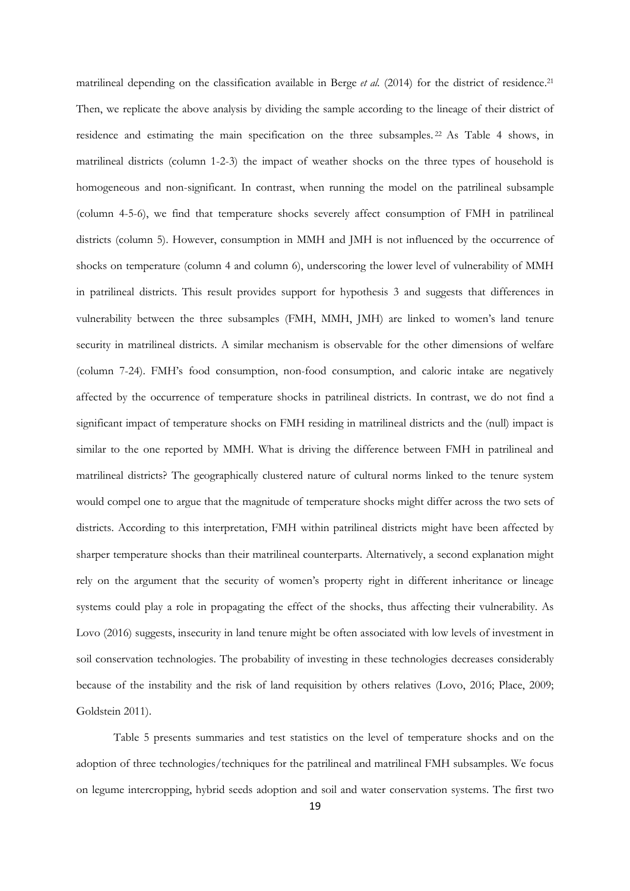matrilineal depending on the classification available in Berge et al. (2014) for the district of residence.<sup>21</sup> Then, we replicate the above analysis by dividing the sample according to the lineage of their district of residence and estimating the main specification on the three subsamples. <sup>22</sup> As Table 4 shows, in matrilineal districts (column 1-2-3) the impact of weather shocks on the three types of household is homogeneous and non-significant. In contrast, when running the model on the patrilineal subsample (column 4-5-6), we find that temperature shocks severely affect consumption of FMH in patrilineal districts (column 5). However, consumption in MMH and JMH is not influenced by the occurrence of shocks on temperature (column 4 and column 6), underscoring the lower level of vulnerability of MMH in patrilineal districts. This result provides support for hypothesis 3 and suggests that differences in vulnerability between the three subsamples (FMH, MMH, JMH) are linked to women's land tenure security in matrilineal districts. A similar mechanism is observable for the other dimensions of welfare (column 7-24). FMH's food consumption, non-food consumption, and caloric intake are negatively affected by the occurrence of temperature shocks in patrilineal districts. In contrast, we do not find a significant impact of temperature shocks on FMH residing in matrilineal districts and the (null) impact is similar to the one reported by MMH. What is driving the difference between FMH in patrilineal and matrilineal districts? The geographically clustered nature of cultural norms linked to the tenure system would compel one to argue that the magnitude of temperature shocks might differ across the two sets of districts. According to this interpretation, FMH within patrilineal districts might have been affected by sharper temperature shocks than their matrilineal counterparts. Alternatively, a second explanation might rely on the argument that the security of women's property right in different inheritance or lineage systems could play a role in propagating the effect of the shocks, thus affecting their vulnerability. As Lovo (2016) suggests, insecurity in land tenure might be often associated with low levels of investment in soil conservation technologies. The probability of investing in these technologies decreases considerably because of the instability and the risk of land requisition by others relatives (Lovo, 2016; Place, 2009; Goldstein 2011).

Table 5 presents summaries and test statistics on the level of temperature shocks and on the adoption of three technologies/techniques for the patrilineal and matrilineal FMH subsamples. We focus on legume intercropping, hybrid seeds adoption and soil and water conservation systems. The first two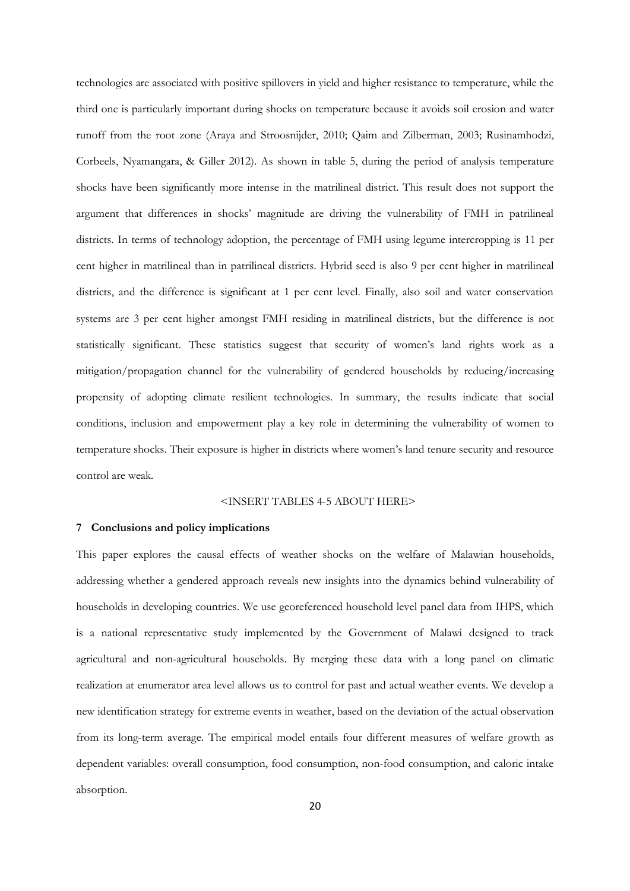technologies are associated with positive spillovers in yield and higher resistance to temperature, while the third one is particularly important during shocks on temperature because it avoids soil erosion and water runoff from the root zone (Araya and Stroosnijder, 2010; Qaim and Zilberman, 2003; Rusinamhodzi, Corbeels, Nyamangara, & Giller 2012). As shown in table 5, during the period of analysis temperature shocks have been significantly more intense in the matrilineal district. This result does not support the argument that differences in shocks' magnitude are driving the vulnerability of FMH in patrilineal districts. In terms of technology adoption, the percentage of FMH using legume intercropping is 11 per cent higher in matrilineal than in patrilineal districts. Hybrid seed is also 9 per cent higher in matrilineal districts, and the difference is significant at 1 per cent level. Finally, also soil and water conservation systems are 3 per cent higher amongst FMH residing in matrilineal districts, but the difference is not statistically significant. These statistics suggest that security of women's land rights work as a mitigation/propagation channel for the vulnerability of gendered households by reducing/increasing propensity of adopting climate resilient technologies. In summary, the results indicate that social conditions, inclusion and empowerment play a key role in determining the vulnerability of women to temperature shocks. Their exposure is higher in districts where women's land tenure security and resource control are weak.

#### <INSERT TABLES 4-5 ABOUT HERE>

#### **7 Conclusions and policy implications**

This paper explores the causal effects of weather shocks on the welfare of Malawian households, addressing whether a gendered approach reveals new insights into the dynamics behind vulnerability of households in developing countries. We use georeferenced household level panel data from IHPS, which is a national representative study implemented by the Government of Malawi designed to track agricultural and non-agricultural households. By merging these data with a long panel on climatic realization at enumerator area level allows us to control for past and actual weather events. We develop a new identification strategy for extreme events in weather, based on the deviation of the actual observation from its long-term average. The empirical model entails four different measures of welfare growth as dependent variables: overall consumption, food consumption, non-food consumption, and caloric intake absorption.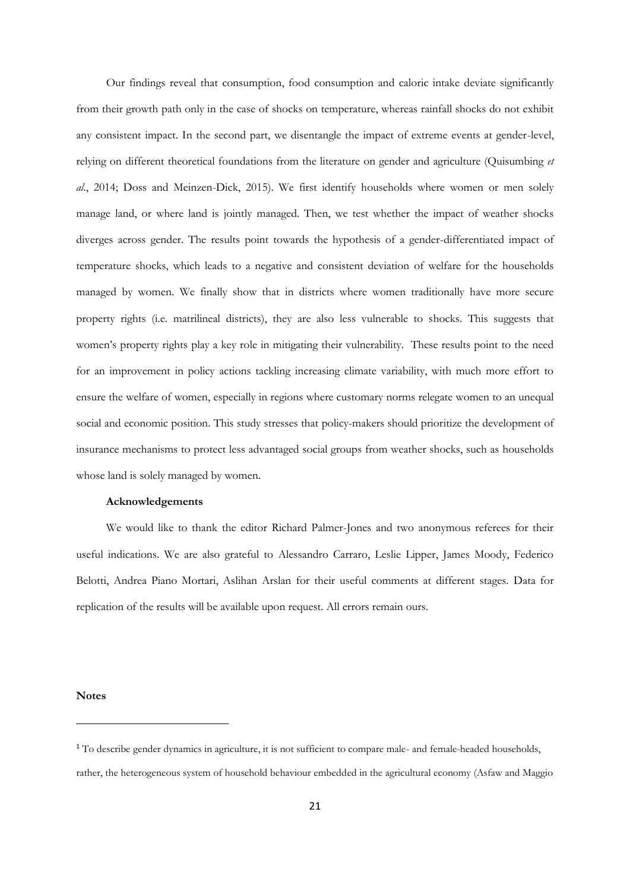Our findings reveal that consumption, food consumption and caloric intake deviate significantly from their growth path only in the case of shocks on temperature, whereas rainfall shocks do not exhibit any consistent impact. In the second part, we disentangle the impact of extreme events at gender-level, relying on different theoretical foundations from the literature on gender and agriculture (Quisumbing *et al*., 2014; Doss and Meinzen-Dick, 2015). We first identify households where women or men solely manage land, or where land is jointly managed. Then, we test whether the impact of weather shocks diverges across gender. The results point towards the hypothesis of a gender-differentiated impact of temperature shocks, which leads to a negative and consistent deviation of welfare for the households managed by women. We finally show that in districts where women traditionally have more secure property rights (i.e. matrilineal districts), they are also less vulnerable to shocks. This suggests that women's property rights play a key role in mitigating their vulnerability. These results point to the need for an improvement in policy actions tackling increasing climate variability, with much more effort to ensure the welfare of women, especially in regions where customary norms relegate women to an unequal social and economic position. This study stresses that policy-makers should prioritize the development of insurance mechanisms to protect less advantaged social groups from weather shocks, such as households whose land is solely managed by women.

#### **Acknowledgements**

We would like to thank the editor Richard Palmer-Jones and two anonymous referees for their useful indications. We are also grateful to Alessandro Carraro, Leslie Lipper, James Moody, Federico Belotti, Andrea Piano Mortari, Aslihan Arslan for their useful comments at different stages. Data for replication of the results will be available upon request. All errors remain ours.

**Notes**

**.** 

<sup>&</sup>lt;sup>1</sup> To describe gender dynamics in agriculture, it is not sufficient to compare male- and female-headed households, rather, the heterogeneous system of household behaviour embedded in the agricultural economy (Asfaw and Maggio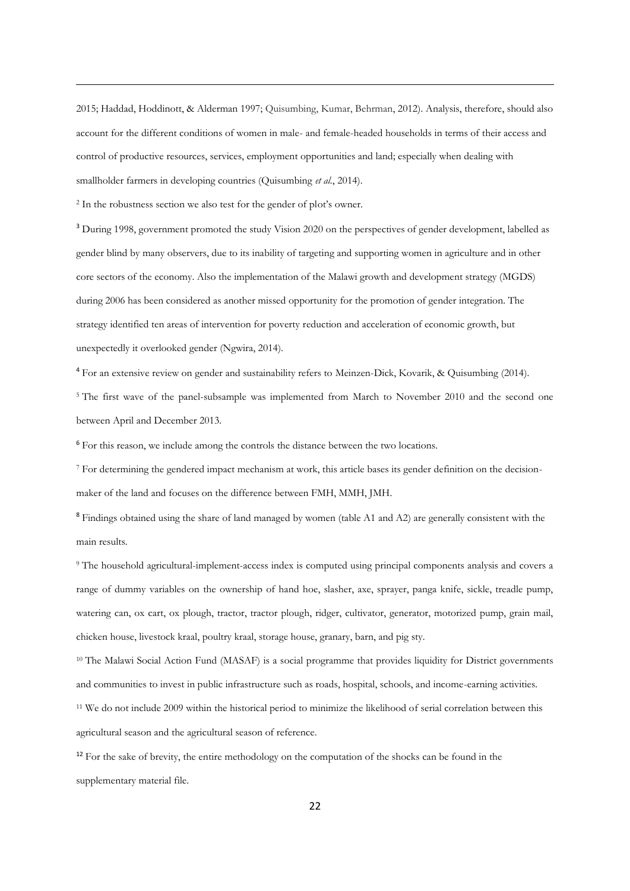2015; Haddad, Hoddinott, & Alderman 1997; Quisumbing, Kumar, Behrman, 2012). Analysis, therefore, should also account for the different conditions of women in male- and female-headed households in terms of their access and control of productive resources, services, employment opportunities and land; especially when dealing with smallholder farmers in developing countries (Quisumbing *et al.*, 2014).

<sup>2</sup> In the robustness section we also test for the gender of plot's owner.

**.** 

<sup>3</sup> During 1998, government promoted the study Vision 2020 on the perspectives of gender development, labelled as gender blind by many observers, due to its inability of targeting and supporting women in agriculture and in other core sectors of the economy. Also the implementation of the Malawi growth and development strategy (MGDS) during 2006 has been considered as another missed opportunity for the promotion of gender integration. The strategy identified ten areas of intervention for poverty reduction and acceleration of economic growth, but unexpectedly it overlooked gender (Ngwira, 2014).

<sup>4</sup> For an extensive review on gender and sustainability refers to Meinzen-Dick, Kovarik, & Quisumbing (2014). <sup>5</sup> The first wave of the panel-subsample was implemented from March to November 2010 and the second one between April and December 2013.

<sup>6</sup> For this reason, we include among the controls the distance between the two locations.

<sup>7</sup> For determining the gendered impact mechanism at work, this article bases its gender definition on the decisionmaker of the land and focuses on the difference between FMH, MMH, JMH.

<sup>8</sup> Findings obtained using the share of land managed by women (table A1 and A2) are generally consistent with the main results.

<sup>9</sup> The household agricultural-implement-access index is computed using principal components analysis and covers a range of dummy variables on the ownership of hand hoe, slasher, axe, sprayer, panga knife, sickle, treadle pump, watering can, ox cart, ox plough, tractor, tractor plough, ridger, cultivator, generator, motorized pump, grain mail, chicken house, livestock kraal, poultry kraal, storage house, granary, barn, and pig sty.

<sup>10</sup> The Malawi Social Action Fund (MASAF) is a social programme that provides liquidity for District governments and communities to invest in public infrastructure such as roads, hospital, schools, and income-earning activities.

<sup>11</sup> We do not include 2009 within the historical period to minimize the likelihood of serial correlation between this agricultural season and the agricultural season of reference.

<sup>12</sup> For the sake of brevity, the entire methodology on the computation of the shocks can be found in the supplementary material file.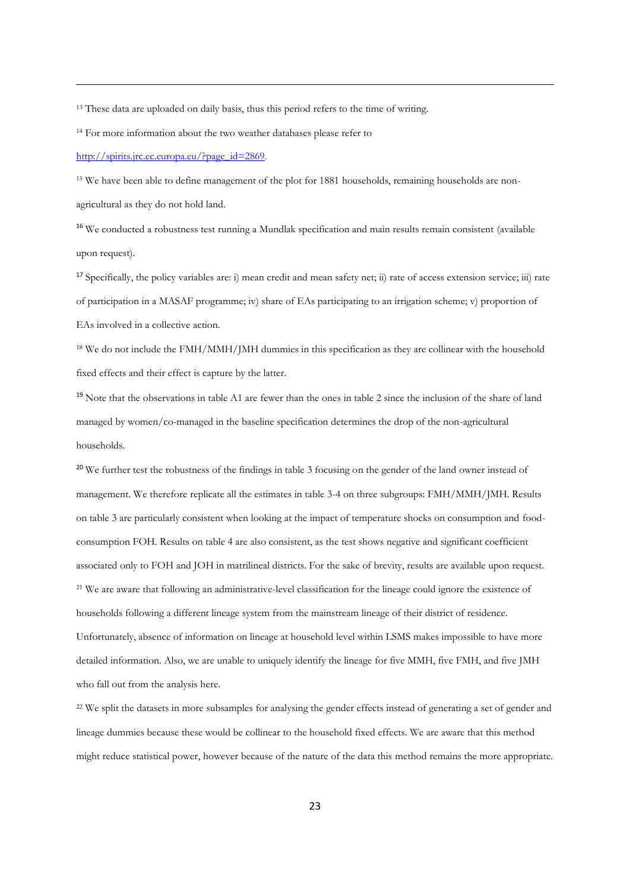<sup>13</sup> These data are uploaded on daily basis, thus this period refers to the time of writing.

<sup>14</sup> For more information about the two weather databases please refer to

[http://spirits.jrc.ec.europa.eu/?page\\_id=2869.](http://spirits.jrc.ec.europa.eu/?page_id=2869)

**.** 

<sup>15</sup> We have been able to define management of the plot for 1881 households, remaining households are nonagricultural as they do not hold land.

<sup>16</sup> We conducted a robustness test running a Mundlak specification and main results remain consistent (available upon request).

<sup>17</sup> Specifically, the policy variables are: i) mean credit and mean safety net; ii) rate of access extension service; iii) rate of participation in a MASAF programme; iv) share of EAs participating to an irrigation scheme; v) proportion of EAs involved in a collective action.

<sup>18</sup> We do not include the FMH/MMH/JMH dummies in this specification as they are collinear with the household fixed effects and their effect is capture by the latter*.*

<sup>19</sup> Note that the observations in table A1 are fewer than the ones in table 2 since the inclusion of the share of land managed by women/co-managed in the baseline specification determines the drop of the non-agricultural households.

<sup>20</sup> We further test the robustness of the findings in table 3 focusing on the gender of the land owner instead of management. We therefore replicate all the estimates in table 3-4 on three subgroups: FMH/MMH/JMH. Results on table 3 are particularly consistent when looking at the impact of temperature shocks on consumption and foodconsumption FOH. Results on table 4 are also consistent, as the test shows negative and significant coefficient associated only to FOH and JOH in matrilineal districts. For the sake of brevity, results are available upon request. <sup>21</sup> We are aware that following an administrative-level classification for the lineage could ignore the existence of households following a different lineage system from the mainstream lineage of their district of residence. Unfortunately, absence of information on lineage at household level within LSMS makes impossible to have more detailed information. Also, we are unable to uniquely identify the lineage for five MMH, five FMH, and five JMH who fall out from the analysis here.

<sup>22</sup> We split the datasets in more subsamples for analysing the gender effects instead of generating a set of gender and lineage dummies because these would be collinear to the household fixed effects. We are aware that this method might reduce statistical power, however because of the nature of the data this method remains the more appropriate.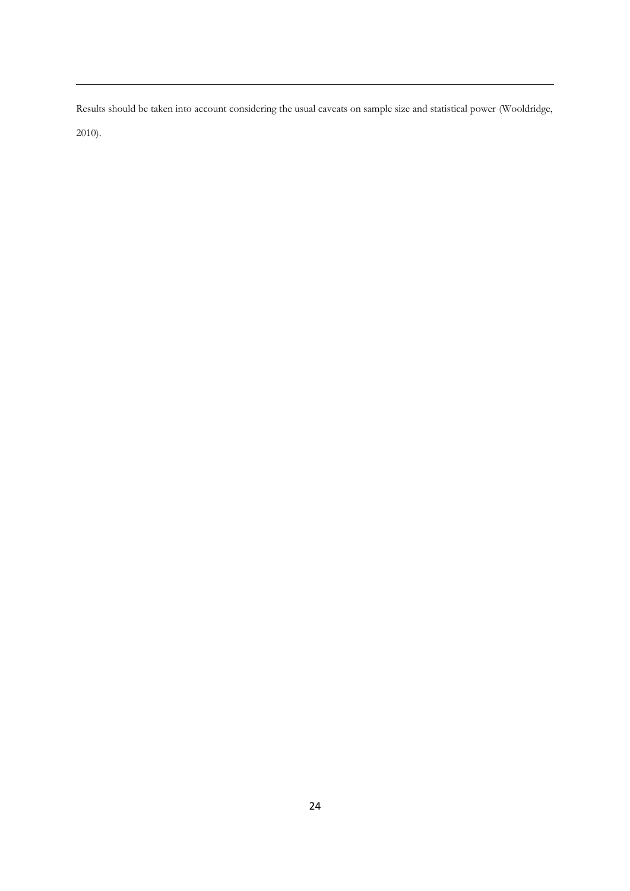Results should be taken into account considering the usual caveats on sample size and statistical power (Wooldridge, 2010).

**.**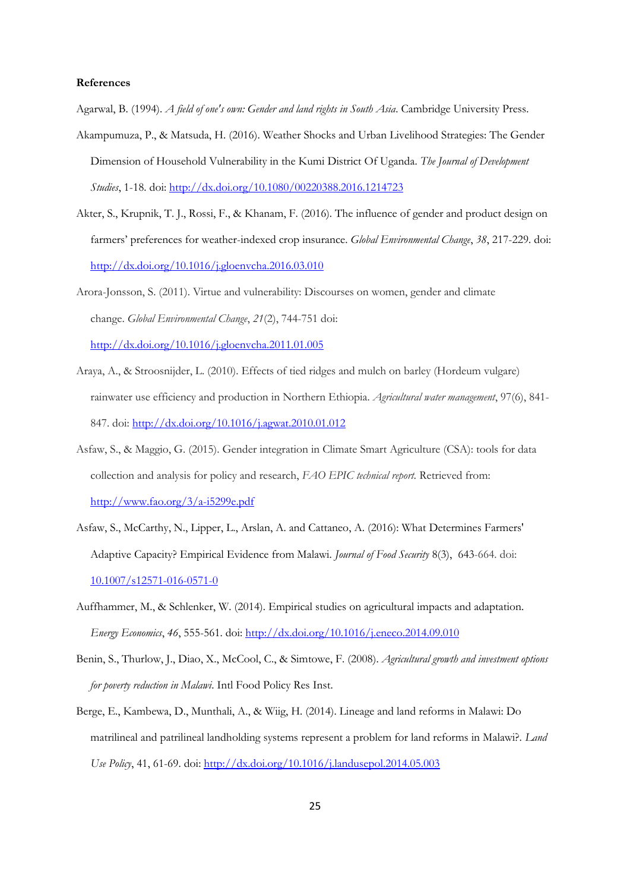#### **References**

Agarwal, B. (1994). *A field of one's own: Gender and land rights in South Asia*. Cambridge University Press.

- Akampumuza, P., & Matsuda, H. (2016). Weather Shocks and Urban Livelihood Strategies: The Gender Dimension of Household Vulnerability in the Kumi District Of Uganda. *The Journal of Development Studies*, 1-18. doi:<http://dx.doi.org/10.1080/00220388.2016.1214723>
- Akter, S., Krupnik, T. J., Rossi, F., & Khanam, F. (2016). The influence of gender and product design on farmers' preferences for weather-indexed crop insurance. *Global Environmental Change*, *38*, 217-229. doi: <http://dx.doi.org/10.1016/j.gloenvcha.2016.03.010>

Arora-Jonsson, S. (2011). Virtue and vulnerability: Discourses on women, gender and climate change. *Global Environmental Change*, *21*(2), 744-751 doi: <http://dx.doi.org/10.1016/j.gloenvcha.2011.01.005>

- Araya, A., & Stroosnijder, L. (2010). Effects of tied ridges and mulch on barley (Hordeum vulgare) rainwater use efficiency and production in Northern Ethiopia. *Agricultural water management*, 97(6), 841- 847. doi:<http://dx.doi.org/10.1016/j.agwat.2010.01.012>
- Asfaw, S., & Maggio, G. (2015). Gender integration in Climate Smart Agriculture (CSA): tools for data collection and analysis for policy and research, *FAO EPIC technical report.* Retrieved from: <http://www.fao.org/3/a-i5299e.pdf>
- Asfaw, S., McCarthy, N., Lipper, L., Arslan, A. and Cattaneo, A. (2016): What Determines Farmers' Adaptive Capacity? Empirical Evidence from Malawi. *Journal of Food Security* 8(3), 643-664. doi: <10.1007/s12571-016-0571-0>
- Auffhammer, M., & Schlenker, W. (2014). Empirical studies on agricultural impacts and adaptation. *Energy Economics*, *46*, 555-561. doi:<http://dx.doi.org/10.1016/j.eneco.2014.09.010>
- Benin, S., Thurlow, J., Diao, X., McCool, C., & Simtowe, F. (2008). *Agricultural growth and investment options for poverty reduction in Malawi*. Intl Food Policy Res Inst.
- Berge, E., Kambewa, D., Munthali, A., & Wiig, H. (2014). Lineage and land reforms in Malawi: Do matrilineal and patrilineal landholding systems represent a problem for land reforms in Malawi?. *Land Use Policy*, 41, 61-69. doi[: http://dx.doi.org/10.1016/j.landusepol.2014.05.003](http://dx.doi.org/10.1016/j.landusepol.2014.05.003)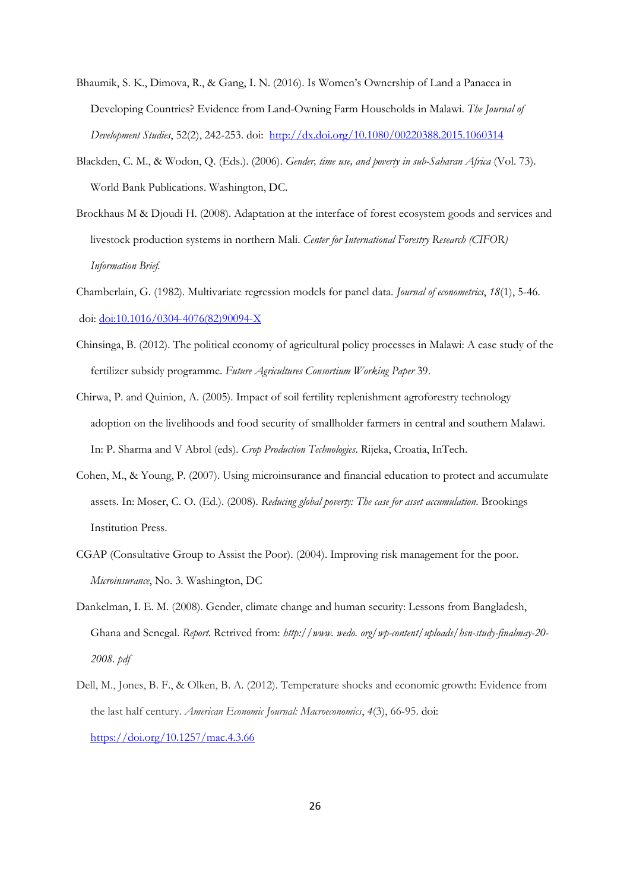- Bhaumik, S. K., Dimova, R., & Gang, I. N. (2016). Is Women's Ownership of Land a Panacea in Developing Countries? Evidence from Land-Owning Farm Households in Malawi. *The Journal of Development Studies*, 52(2), 242-253. doi: <http://dx.doi.org/10.1080/00220388.2015.1060314>
- Blackden, C. M., & Wodon, Q. (Eds.). (2006). *Gender, time use, and poverty in sub-Saharan Africa* (Vol. 73). World Bank Publications. Washington, DC.
- Brockhaus M & Djoudi H. (2008). Adaptation at the interface of forest ecosystem goods and services and livestock production systems in northern Mali. *Center for International Forestry Research (CIFOR) Information Brief.*
- Chamberlain, G. (1982). Multivariate regression models for panel data. *Journal of econometrics*, *18*(1), 5-46. doi: [doi:10.1016/0304-4076\(82\)90094-X](http://dx.doi.org/10.1016/0304-4076%2882%2990094-X)
- Chinsinga, B. (2012). The political economy of agricultural policy processes in Malawi: A case study of the fertilizer subsidy programme. *Future Agricultures Consortium Working Paper* 39.
- Chirwa, P. and Quinion, A. (2005). Impact of soil fertility replenishment agroforestry technology adoption on the livelihoods and food security of smallholder farmers in central and southern Malawi. In: P. Sharma and V Abrol (eds). *Crop Production Technologies*. Rijeka, Croatia, InTech.
- Cohen, M., & Young, P. (2007). Using microinsurance and financial education to protect and accumulate assets. In: Moser, C. O. (Ed.). (2008). *Reducing global poverty: The case for asset accumulation*. Brookings Institution Press.
- CGAP (Consultative Group to Assist the Poor). (2004). Improving risk management for the poor. *Microinsurance*, No. 3. Washington, DC
- Dankelman, I. E. M. (2008). Gender, climate change and human security: Lessons from Bangladesh, Ghana and Senegal. *Report.* Retrived from: *http://www. wedo. org/wp-content/uploads/hsn-study-finalmay-20- 2008. pdf*
- Dell, M., Jones, B. F., & Olken, B. A. (2012). Temperature shocks and economic growth: Evidence from the last half century. *American Economic Journal: Macroeconomics*, *4*(3), 66-95. doi: <https://doi.org/10.1257/mac.4.3.66>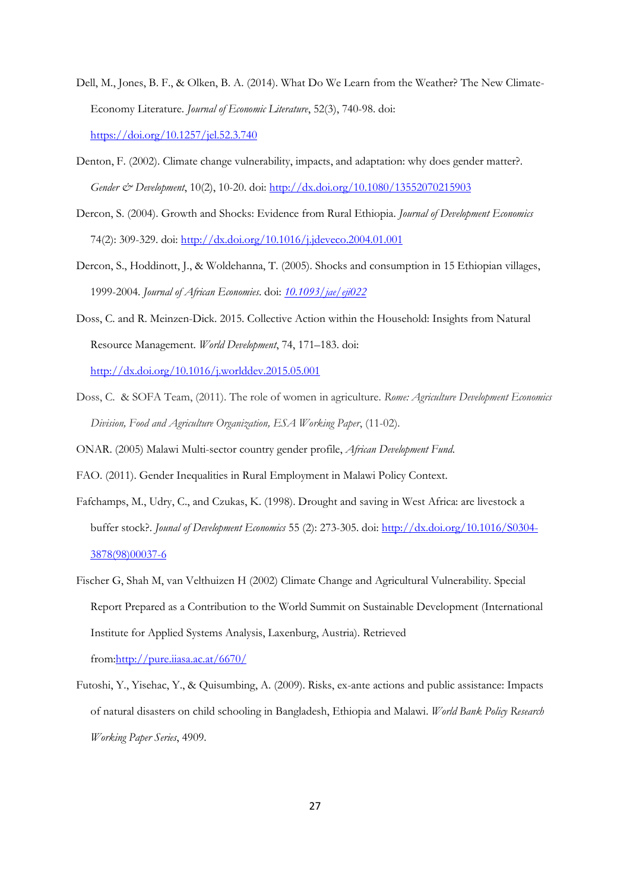- Dell, M., Jones, B. F., & Olken, B. A. (2014). What Do We Learn from the Weather? The New Climate-Economy Literature. *Journal of Economic Literature*, 52(3), 740-98. doi: <https://doi.org/10.1257/jel.52.3.740>
- Denton, F. (2002). Climate change vulnerability, impacts, and adaptation: why does gender matter?. *Gender & Development*, 10(2), 10-20. doi:<http://dx.doi.org/10.1080/13552070215903>
- Dercon, S. (2004). Growth and Shocks: Evidence from Rural Ethiopia. *Journal of Development Economics* 74(2): 309-329. doi:<http://dx.doi.org/10.1016/j.jdeveco.2004.01.001>
- Dercon, S., Hoddinott, J., & Woldehanna, T. (2005). Shocks and consumption in 15 Ethiopian villages, 1999-2004. *Journal of African Economies*. doi: *<10.1093/jae/eji022>*
- Doss, C. and R. Meinzen-Dick. 2015. Collective Action within the Household: Insights from Natural Resource Management. *World Development*, 74, 171–183. doi: <http://dx.doi.org/10.1016/j.worlddev.2015.05.001>
- Doss, C. & SOFA Team, (2011). The role of women in agriculture. *Rome: Agriculture Development Economics Division, Food and Agriculture Organization, ESA Working Paper*, (11-02).
- ONAR. (2005) Malawi Multi-sector country gender profile, *African Development Fund*.
- FAO. (2011). Gender Inequalities in Rural Employment in Malawi Policy Context.
- Fafchamps, M., Udry, C., and Czukas, K. (1998). Drought and saving in West Africa: are livestock a buffer stock?. *Jounal of Development Economics* 55 (2): 273-305. doi[: http://dx.doi.org/10.1016/S0304-](http://dx.doi.org/10.1016/S0304-3878%2898%2900037-6) [3878\(98\)00037-6](http://dx.doi.org/10.1016/S0304-3878%2898%2900037-6)
- Fischer G, Shah M, van Velthuizen H (2002) Climate Change and Agricultural Vulnerability. Special Report Prepared as a Contribution to the World Summit on Sustainable Development (International Institute for Applied Systems Analysis, Laxenburg, Austria). Retrieved fro[m:http://pure.iiasa.ac.at/6670/](http://pure.iiasa.ac.at/6670/)
- Futoshi, Y., Yisehac, Y., & Quisumbing, A. (2009). Risks, ex-ante actions and public assistance: Impacts of natural disasters on child schooling in Bangladesh, Ethiopia and Malawi. *World Bank Policy Research Working Paper Series*, 4909.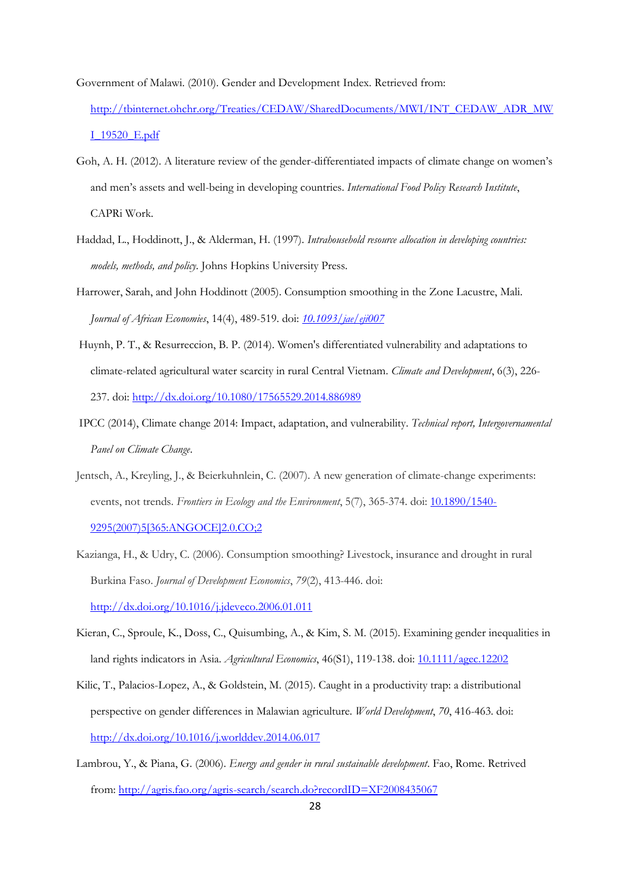Government of Malawi. (2010). Gender and Development Index. Retrieved from:

- [http://tbinternet.ohchr.org/Treaties/CEDAW/SharedDocuments/MWI/INT\\_CEDAW\\_ADR\\_MW](http://tbinternet.ohchr.org/Treaties/CEDAW/SharedDocuments/MWI/INT_CEDAW_ADR_MWI_19520_E.pdf) [I\\_19520\\_E.pdf](http://tbinternet.ohchr.org/Treaties/CEDAW/SharedDocuments/MWI/INT_CEDAW_ADR_MWI_19520_E.pdf)
- Goh, A. H. (2012). A literature review of the gender-differentiated impacts of climate change on women's and men's assets and well-being in developing countries. *International Food Policy Research Institute*, CAPRi Work.
- Haddad, L., Hoddinott, J., & Alderman, H. (1997). *Intrahousehold resource allocation in developing countries: models, methods, and policy.* Johns Hopkins University Press.

Harrower, Sarah, and John Hoddinott (2005). Consumption smoothing in the Zone Lacustre, Mali. *Journal of African Economies*, 14(4), 489-519. doi: *<10.1093/jae/eji007>*

- Huynh, P. T., & Resurreccion, B. P. (2014). Women's differentiated vulnerability and adaptations to climate-related agricultural water scarcity in rural Central Vietnam. *Climate and Development*, 6(3), 226- 237. doi: <http://dx.doi.org/10.1080/17565529.2014.886989>
- IPCC (2014), Climate change 2014: Impact, adaptation, and vulnerability. *Technical report, Intergovernamental Panel on Climate Change*.
- Jentsch, A., Kreyling, J., & Beierkuhnlein, C. (2007). A new generation of climate-change experiments: events, not trends. *Frontiers in Ecology and the Environment*, 5(7), 365-374. doi: [10.1890/1540-](10.1890/1540-9295(2007)5%5B365:ANGOCE%5D2.0.CO;2) [9295\(2007\)5\[365:ANGOCE\]2.0.CO;2](10.1890/1540-9295(2007)5%5B365:ANGOCE%5D2.0.CO;2)
- Kazianga, H., & Udry, C. (2006). Consumption smoothing? Livestock, insurance and drought in rural Burkina Faso. *Journal of Development Economics*, *79*(2), 413-446. doi: <http://dx.doi.org/10.1016/j.jdeveco.2006.01.011>
- Kieran, C., Sproule, K., Doss, C., Quisumbing, A., & Kim, S. M. (2015). Examining gender inequalities in land rights indicators in Asia. *Agricultural Economics*, 46(S1), 119-138. doi[: 10.1111/agec.12202](10.1111/agec.12202)
- Kilic, T., Palacios-Lopez, A., & Goldstein, M. (2015). Caught in a productivity trap: a distributional perspective on gender differences in Malawian agriculture. *World Development*, *70*, 416-463. doi: <http://dx.doi.org/10.1016/j.worlddev.2014.06.017>
- Lambrou, Y., & Piana, G. (2006). *Energy and gender in rural sustainable development*. Fao, Rome. Retrived from:<http://agris.fao.org/agris-search/search.do?recordID=XF2008435067>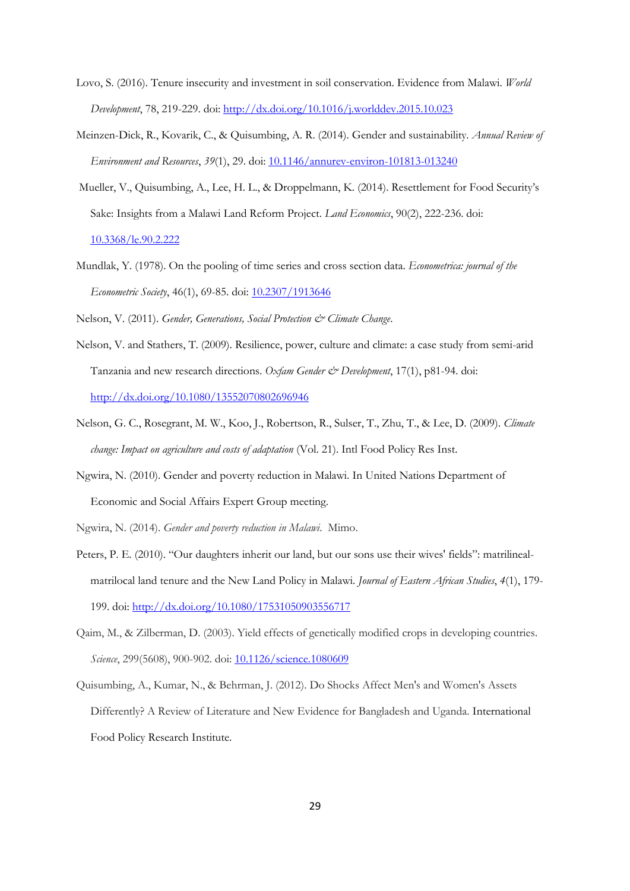- Lovo, S. (2016). Tenure insecurity and investment in soil conservation. Evidence from Malawi. *World Development*, 78, 219-229. doi:<http://dx.doi.org/10.1016/j.worlddev.2015.10.023>
- Meinzen-Dick, R., Kovarik, C., & Quisumbing, A. R. (2014). Gender and sustainability. *Annual Review of Environment and Resources*, *39*(1), 29. doi[: 10.1146/annurev-environ-101813-013240](10.1146/annurev-environ-101813-013240)
- Mueller, V., Quisumbing, A., Lee, H. L., & Droppelmann, K. (2014). Resettlement for Food Security's Sake: Insights from a Malawi Land Reform Project. *Land Economics*, 90(2), 222-236. doi: <10.3368/le.90.2.222>
- Mundlak, Y. (1978). On the pooling of time series and cross section data. *Econometrica: journal of the Econometric Society*, 46(1), 69-85. doi[: 10.2307/1913646](10.2307/1913646)

Nelson, V. (2011). *Gender, Generations, Social Protection & Climate Change*.

- Nelson, V. and Stathers, T. (2009). Resilience, power, culture and climate: a case study from semi-arid Tanzania and new research directions. *Oxfam Gender & Development*, 17(1), p81-94. doi: <http://dx.doi.org/10.1080/13552070802696946>
- Nelson, G. C., Rosegrant, M. W., Koo, J., Robertson, R., Sulser, T., Zhu, T., & Lee, D. (2009). *Climate change: Impact on agriculture and costs of adaptation* (Vol. 21). Intl Food Policy Res Inst.
- Ngwira, N. (2010). Gender and poverty reduction in Malawi. In United Nations Department of Economic and Social Affairs Expert Group meeting.

Ngwira, N. (2014). *Gender and poverty reduction in Malawi*. Mimo.

- Peters, P. E. (2010). "Our daughters inherit our land, but our sons use their wives' fields": matrilinealmatrilocal land tenure and the New Land Policy in Malawi. *Journal of Eastern African Studies*, *4*(1), 179- 199. doi:<http://dx.doi.org/10.1080/17531050903556717>
- Qaim, M., & Zilberman, D. (2003). Yield effects of genetically modified crops in developing countries. *Science*, 299(5608), 900-902. doi[: 10.1126/science.1080609](10.1126/science.1080609)
- Quisumbing, A., Kumar, N., & Behrman, J. (2012). Do Shocks Affect Men's and Women's Assets Differently? A Review of Literature and New Evidence for Bangladesh and Uganda. International Food Policy Research Institute.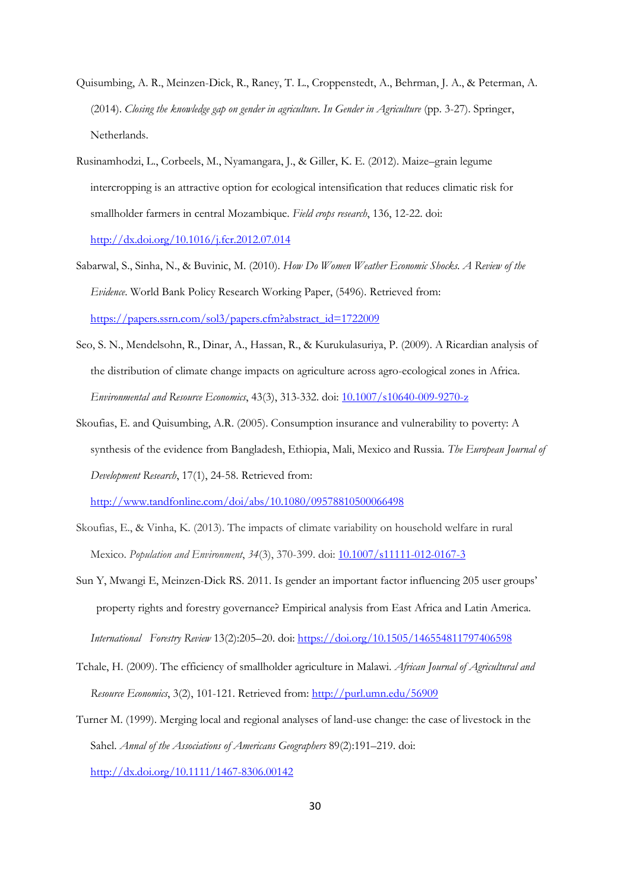- Quisumbing, A. R., Meinzen-Dick, R., Raney, T. L., Croppenstedt, A., Behrman, J. A., & Peterman, A. (2014). *Closing the knowledge gap on gender in agriculture. In Gender in Agriculture* (pp. 3-27). Springer, Netherlands.
- Rusinamhodzi, L., Corbeels, M., Nyamangara, J., & Giller, K. E. (2012). Maize–grain legume intercropping is an attractive option for ecological intensification that reduces climatic risk for smallholder farmers in central Mozambique. *Field crops research*, 136, 12-22. doi: <http://dx.doi.org/10.1016/j.fcr.2012.07.014>
- Sabarwal, S., Sinha, N., & Buvinic, M. (2010). *How Do Women Weather Economic Shocks. A Review of the Evidence*. World Bank Policy Research Working Paper, (5496). Retrieved from: [https://papers.ssrn.com/sol3/papers.cfm?abstract\\_id=1722009](https://papers.ssrn.com/sol3/papers.cfm?abstract_id=1722009)
- Seo, S. N., Mendelsohn, R., Dinar, A., Hassan, R., & Kurukulasuriya, P. (2009). A Ricardian analysis of the distribution of climate change impacts on agriculture across agro-ecological zones in Africa. *Environmental and Resource Economics*, 43(3), 313-332. doi:<10.1007/s10640-009-9270-z>
- Skoufias, E. and Quisumbing, A.R. (2005). Consumption insurance and vulnerability to poverty: A synthesis of the evidence from Bangladesh, Ethiopia, Mali, Mexico and Russia. *The European Journal of Development Research*, 17(1), 24-58. Retrieved from:

<http://www.tandfonline.com/doi/abs/10.1080/09578810500066498>

- Skoufias, E., & Vinha, K. (2013). The impacts of climate variability on household welfare in rural Mexico. *Population and Environment*, *34*(3), 370-399. doi[: 10.1007/s11111-012-0167-3](10.1007/s11111-012-0167-3)
- Sun Y, Mwangi E, Meinzen-Dick RS. 2011. Is gender an important factor influencing 205 user groups' property rights and forestry governance? Empirical analysis from East Africa and Latin America. *International Forestry Review* 13(2):205–20. doi:<https://doi.org/10.1505/146554811797406598>
- Tchale, H. (2009). The efficiency of smallholder agriculture in Malawi. *African Journal of Agricultural and Resource Economics*, 3(2), 101-121. Retrieved from[: http://purl.umn.edu/56909](http://purl.umn.edu/56909)
- Turner M. (1999). Merging local and regional analyses of land-use change: the case of livestock in the Sahel. *Annal of the Associations of Americans Geographers* 89(2):191–219. doi: <http://dx.doi.org/10.1111/1467-8306.00142>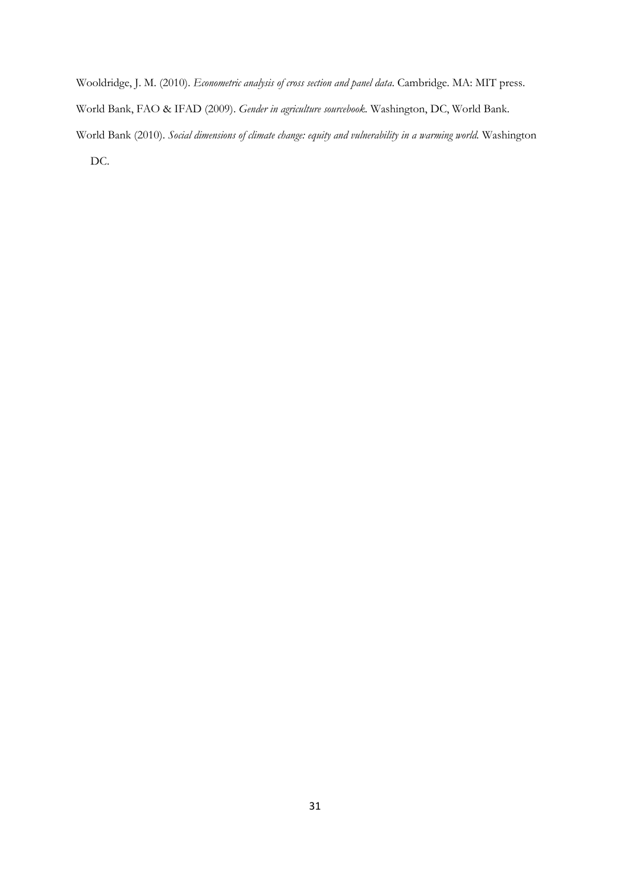Wooldridge, J. M. (2010). *Econometric analysis of cross section and panel data*. Cambridge. MA: MIT press. World Bank, FAO & IFAD (2009). *Gender in agriculture sourcebook.* Washington, DC, World Bank. World Bank (2010). *Social dimensions of climate change: equity and vulnerability in a warming world.* Washington DC.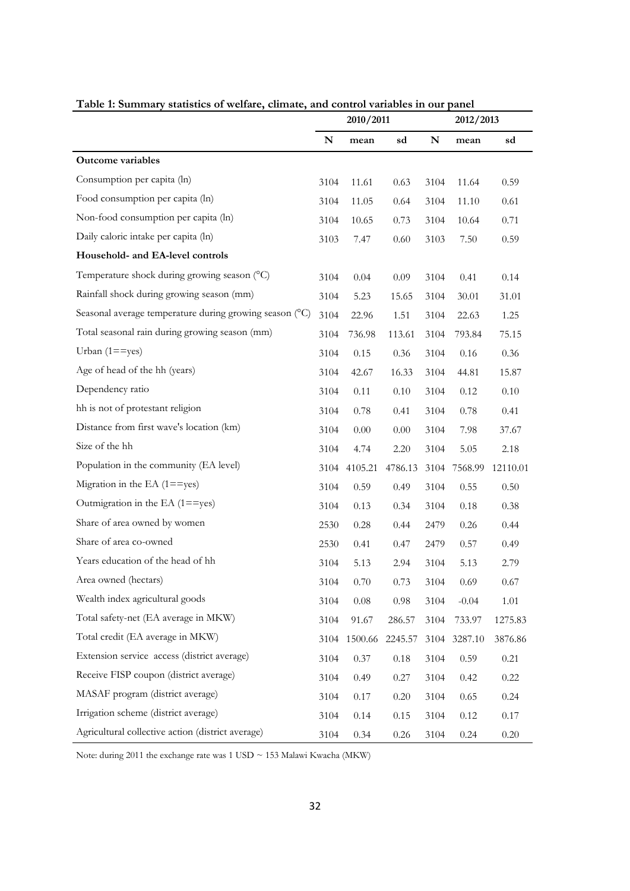| Table 1: Summary statistics of weitare, climate, and control variables in our panel | 2010/2011<br>2012/2013 |          |         |      |         |          |
|-------------------------------------------------------------------------------------|------------------------|----------|---------|------|---------|----------|
|                                                                                     | N                      | mean     | sd      | N    | mean    | sd       |
| <b>Outcome variables</b>                                                            |                        |          |         |      |         |          |
| Consumption per capita (ln)                                                         | 3104                   | 11.61    | 0.63    | 3104 | 11.64   | 0.59     |
| Food consumption per capita (ln)                                                    | 3104                   | 11.05    | 0.64    | 3104 | 11.10   | 0.61     |
| Non-food consumption per capita (ln)                                                | 3104                   | 10.65    | 0.73    | 3104 | 10.64   | 0.71     |
| Daily caloric intake per capita (ln)                                                | 3103                   | 7.47     | 0.60    | 3103 | 7.50    | 0.59     |
| Household- and EA-level controls                                                    |                        |          |         |      |         |          |
| Temperature shock during growing season (°C)                                        | 3104                   | 0.04     | 0.09    | 3104 | 0.41    | 0.14     |
| Rainfall shock during growing season (mm)                                           | 3104                   | 5.23     | 15.65   | 3104 | 30.01   | 31.01    |
| Seasonal average temperature during growing season (°C)                             | 3104                   | 22.96    | 1.51    | 3104 | 22.63   | 1.25     |
| Total seasonal rain during growing season (mm)                                      | 3104                   | 736.98   | 113.61  | 3104 | 793.84  | 75.15    |
| Urban $(1 == yes)$                                                                  | 3104                   | 0.15     | 0.36    | 3104 | 0.16    | 0.36     |
| Age of head of the hh (years)                                                       | 3104                   | 42.67    | 16.33   | 3104 | 44.81   | 15.87    |
| Dependency ratio                                                                    | 3104                   | 0.11     | 0.10    | 3104 | 0.12    | 0.10     |
| hh is not of protestant religion                                                    | 3104                   | 0.78     | 0.41    | 3104 | 0.78    | 0.41     |
| Distance from first wave's location (km)                                            | 3104                   | 0.00     | 0.00    | 3104 | 7.98    | 37.67    |
| Size of the hh                                                                      | 3104                   | 4.74     | 2.20    | 3104 | 5.05    | 2.18     |
| Population in the community (EA level)                                              | 3104                   | 4105.21  | 4786.13 | 3104 | 7568.99 | 12110.01 |
| Migration in the EA $(1 = = yes)$                                                   | 3104                   | 0.59     | 0.49    | 3104 | 0.55    | 0.50     |
| Outmigration in the EA $(1 = = yes)$                                                | 3104                   | 0.13     | 0.34    | 3104 | 0.18    | 0.38     |
| Share of area owned by women                                                        | 2530                   | 0.28     | 0.44    | 2479 | 0.26    | 0.44     |
| Share of area co-owned                                                              | 2530                   | 0.41     | 0.47    | 2479 | 0.57    | 0.49     |
| Years education of the head of hh                                                   | 3104                   | 5.13     | 2.94    | 3104 | 5.13    | 2.79     |
| Area owned (hectars)                                                                | 3104                   | 0.70     | 0.73    | 3104 | 0.69    | 0.67     |
| Wealth index agricultural goods                                                     | 3104                   | $0.08\,$ | 0.98    | 3104 | $-0.04$ | 1.01     |
| Total safety-net (EA average in MKW)                                                | 3104                   | 91.67    | 286.57  | 3104 | 733.97  | 1275.83  |
| Total credit (EA average in MKW)                                                    | 3104                   | 1500.66  | 2245.57 | 3104 | 3287.10 | 3876.86  |
| Extension service access (district average)                                         | 3104                   | 0.37     | 0.18    | 3104 | 0.59    | 0.21     |
| Receive FISP coupon (district average)                                              | 3104                   | 0.49     | 0.27    | 3104 | 0.42    | 0.22     |
| MASAF program (district average)                                                    | 3104                   | 0.17     | 0.20    | 3104 | 0.65    | 0.24     |
| Irrigation scheme (district average)                                                | 3104                   | 0.14     | 0.15    | 3104 | 0.12    | 0.17     |
| Agricultural collective action (district average)                                   | 3104                   | 0.34     | 0.26    | 3104 | 0.24    | $0.20\,$ |

**Table 1: Summary statistics of welfare, climate, and control variables in our panel**

Note: during 2011 the exchange rate was 1 USD  $\sim$  153 Malawi Kwacha (MKW)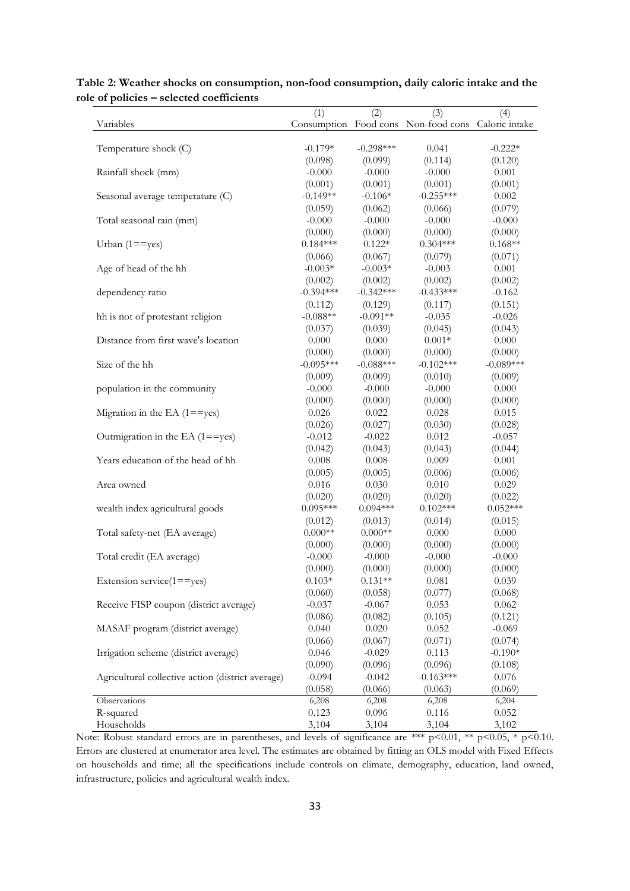| e or poneres                                      | (1)                 | (2)                  | (3)                                                | (4)                 |
|---------------------------------------------------|---------------------|----------------------|----------------------------------------------------|---------------------|
| Variables                                         |                     |                      | Consumption Food cons Non-food cons Caloric intake |                     |
|                                                   |                     |                      |                                                    |                     |
| Temperature shock (C)                             | $-0.179*$           | $-0.298***$          | 0.041                                              | $-0.222*$           |
|                                                   | (0.098)             | (0.099)              | (0.114)                                            | (0.120)             |
| Rainfall shock (mm)                               | $-0.000$            | $-0.000$             | $-0.000$                                           | 0.001               |
|                                                   | (0.001)             | (0.001)              | (0.001)                                            | (0.001)             |
| Seasonal average temperature (C)                  | $-0.149**$          | $-0.106*$            | $-0.255***$                                        | 0.002               |
|                                                   | (0.059)             | (0.062)              | (0.066)                                            | (0.079)             |
| Total seasonal rain (mm)                          | $-0.000$            | $-0.000$             | $-0.000$                                           | $-0.000$            |
|                                                   | (0.000)             | (0.000)              | (0.000)                                            | (0.000)             |
| Urban $(1 = = yes)$                               | $0.184***$          | $0.122*$             | $0.304***$                                         | $0.168**$           |
|                                                   | (0.066)             | (0.067)              | (0.079)                                            | (0.071)             |
| Age of head of the hh                             | $-0.003*$           | $-0.003*$            | $-0.003$                                           | 0.001               |
|                                                   | (0.002)             | (0.002)              | (0.002)                                            | (0.002)             |
| dependency ratio                                  | $-0.394***$         | $-0.342***$          | $-0.433***$                                        | $-0.162$            |
|                                                   | (0.112)             | (0.129)              | (0.117)                                            | (0.151)             |
| hh is not of protestant religion                  | $-0.088**$          | $-0.091**$           | $-0.035$                                           | $-0.026$            |
|                                                   | (0.037)             | (0.039)              | (0.045)                                            | (0.043)             |
| Distance from first wave's location               | 0.000               | 0.000                | $0.001*$                                           | 0.000               |
|                                                   | (0.000)             | (0.000)              | (0.000)                                            | (0.000)             |
| Size of the hh                                    | $-0.095***$         | $-0.088***$          | $-0.102***$                                        | $-0.089***$         |
|                                                   | (0.009)             | (0.009)              | (0.010)                                            | (0.009)             |
| population in the community                       | $-0.000$            | $-0.000$             | $-0.000$                                           | 0.000               |
|                                                   | (0.000)             | (0.000)              | (0.000)                                            | (0.000)             |
| Migration in the EA $(1 = = yes)$                 | 0.026               | 0.022                | 0.028                                              | 0.015               |
|                                                   | (0.026)             | (0.027)              | (0.030)                                            | (0.028)             |
| Outmigration in the EA $(1 = = yes)$              | $-0.012$            | $-0.022$             | 0.012                                              | $-0.057$            |
|                                                   | (0.042)             | (0.043)              | (0.043)                                            | (0.044)             |
| Years education of the head of hh                 | 0.008               | 0.008                | 0.009                                              | 0.001               |
|                                                   | (0.005)             | (0.005)              | (0.006)                                            | (0.006)             |
| Area owned                                        | 0.016               | 0.030                | 0.010                                              | 0.029               |
|                                                   | (0.020)             | (0.020)              | (0.020)                                            | (0.022)             |
| wealth index agricultural goods                   | $0.095***$          | $0.094***$           | $0.102***$                                         | $0.052***$          |
|                                                   | (0.012)             | (0.013)              | (0.014)                                            | (0.015)             |
| Total safety-net (EA average)                     | $0.000**$           | $0.000**$            | 0.000                                              | 0.000               |
|                                                   | (0.000)             | (0.000)              | (0.000)                                            | (0.000)             |
| Total credit (EA average)                         | $-0.000$            | $-0.000$             | $-0.000$                                           | $-0.000$<br>(0.000) |
| Extension service(1==yes)                         | (0.000)<br>$0.103*$ | (0.000)<br>$0.131**$ | (0.000)<br>0.081                                   | 0.039               |
|                                                   | (0.060)             | (0.058)              | (0.077)                                            | (0.068)             |
| Receive FISP coupon (district average)            | $-0.037$            | $-0.067$             | 0.053                                              | 0.062               |
|                                                   | (0.086)             | (0.082)              | (0.105)                                            | (0.121)             |
| MASAF program (district average)                  | 0.040               | 0.020                | 0.052                                              | $-0.069$            |
|                                                   | (0.066)             | (0.067)              | (0.071)                                            | (0.074)             |
| Irrigation scheme (district average)              | 0.046               | $-0.029$             | 0.113                                              | $-0.190*$           |
|                                                   | (0.090)             | (0.096)              | (0.096)                                            | (0.108)             |
| Agricultural collective action (district average) | $-0.094$            | $-0.042$             | $-0.163***$                                        | 0.076               |
|                                                   | (0.058)             | (0.066)              | (0.063)                                            | (0.069)             |
| Observations                                      | 6,208               | 6,208                | 6,208                                              | 6,204               |
| R-squared                                         | 0.123               | 0.096                | 0.116                                              | 0.052               |
| Households                                        | 3,104               | 3,104                | 3,104                                              | 3,102               |

### **Table 2: Weather shocks on consumption, non-food consumption, daily caloric intake and the role of policies – selected coefficients**

Note: Robust standard errors are in parentheses, and levels of significance are \*\*\* p<0.01, \*\* p<0.05, \* p<0.10. Errors are clustered at enumerator area level. The estimates are obtained by fitting an OLS model with Fixed Effects on households and time; all the specifications include controls on climate, demography, education, land owned, infrastructure, policies and agricultural wealth index.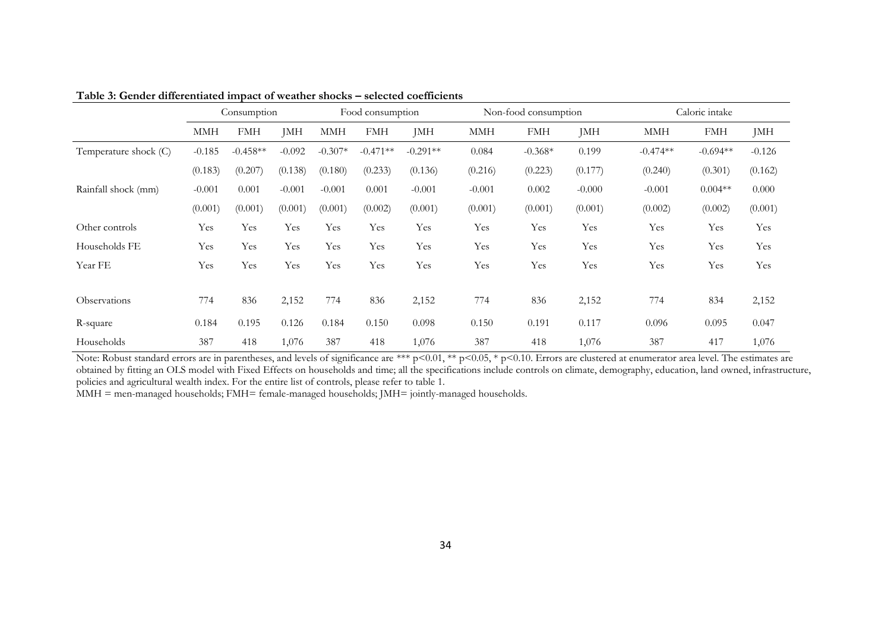|                       | Consumption |            | Food consumption |           | Non-food consumption |            |            | Caloric intake |          |            |            |          |
|-----------------------|-------------|------------|------------------|-----------|----------------------|------------|------------|----------------|----------|------------|------------|----------|
|                       | MMH         | <b>FMH</b> | JMH              | MMH       | <b>FMH</b>           | JMH        | <b>MMH</b> | <b>FMH</b>     | JMH      | <b>MMH</b> | <b>FMH</b> | JMH      |
| Temperature shock (C) | $-0.185$    | $-0.458**$ | $-0.092$         | $-0.307*$ | $-0.471**$           | $-0.291**$ | 0.084      | $-0.368*$      | 0.199    | $-0.474**$ | $-0.694**$ | $-0.126$ |
|                       | (0.183)     | (0.207)    | (0.138)          | (0.180)   | (0.233)              | (0.136)    | (0.216)    | (0.223)        | (0.177)  | (0.240)    | (0.301)    | (0.162)  |
| Rainfall shock (mm)   | $-0.001$    | 0.001      | $-0.001$         | $-0.001$  | 0.001                | $-0.001$   | $-0.001$   | 0.002          | $-0.000$ | $-0.001$   | $0.004**$  | 0.000    |
|                       | (0.001)     | (0.001)    | (0.001)          | (0.001)   | (0.002)              | (0.001)    | (0.001)    | (0.001)        | (0.001)  | (0.002)    | (0.002)    | (0.001)  |
| Other controls        | Yes         | Yes        | Yes              | Yes       | Yes                  | Yes        | Yes        | Yes            | Yes      | Yes        | Yes        | Yes      |
| Households FE         | Yes         | Yes        | Yes              | Yes       | Yes                  | Yes        | Yes        | Yes            | Yes      | Yes        | Yes        | Yes      |
| Year FE               | Yes         | Yes        | Yes              | Yes       | Yes                  | Yes        | Yes        | Yes            | Yes      | Yes        | Yes        | Yes      |
| Observations          | 774         | 836        | 2,152            | 774       | 836                  | 2,152      | 774        | 836            | 2,152    | 774        | 834        | 2,152    |
| R-square              | 0.184       | 0.195      | 0.126            | 0.184     | 0.150                | 0.098      | 0.150      | 0.191          | 0.117    | 0.096      | 0.095      | 0.047    |
| Households            | 387         | 418        | 1,076            | 387       | 418                  | 1,076      | 387        | 418            | 1,076    | 387        | 417        | 1,076    |

**Table 3: Gender differentiated impact of weather shocks – selected coefficients**

Note: Robust standard errors are in parentheses, and levels of significance are \*\*\* p<0.01, \*\* p<0.05, \* p<0.10. Errors are clustered at enumerator area level. The estimates are obtained by fitting an OLS model with Fixed Effects on households and time; all the specifications include controls on climate, demography, education, land owned, infrastructure, policies and agricultural wealth index. For the entire list of controls, please refer to table 1.

MMH = men-managed households; FMH= female-managed households; JMH= jointly-managed households.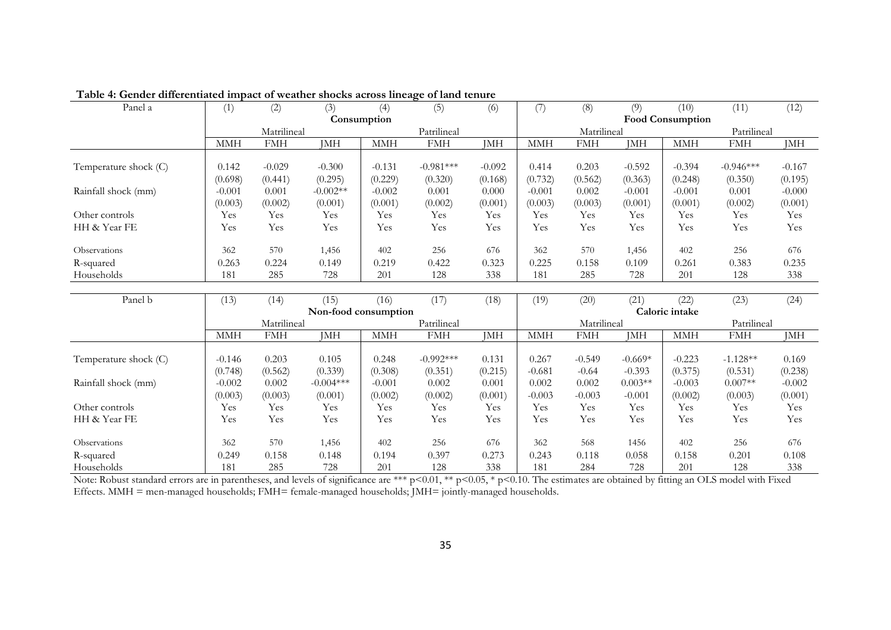| Panel a               | (1)        | (2)                        | (3)                  | (4)                  | act unterchance impact of weather onothe across initiate of land tendre<br>(5) | (6)         | (7)        | (8)         | (9)         | (10)                    | (11)        | (12)       |
|-----------------------|------------|----------------------------|----------------------|----------------------|--------------------------------------------------------------------------------|-------------|------------|-------------|-------------|-------------------------|-------------|------------|
|                       |            | Consumption                |                      |                      |                                                                                |             |            |             |             | <b>Food Consumption</b> |             |            |
|                       |            | Patrilineal<br>Matrilineal |                      |                      |                                                                                | Matrilineal |            |             | Patrilineal |                         |             |            |
|                       | <b>MMH</b> | <b>FMH</b>                 | <b>JMH</b>           | <b>MMH</b>           | <b>FMH</b>                                                                     | <b>JMH</b>  | <b>MMH</b> | <b>FMH</b>  | JMH         | <b>MMH</b>              | <b>FMH</b>  | <b>JMH</b> |
| Temperature shock (C) | 0.142      | $-0.029$                   | $-0.300$             | $-0.131$             | $-0.981***$                                                                    | $-0.092$    | 0.414      | 0.203       | $-0.592$    | $-0.394$                | $-0.946***$ | $-0.167$   |
|                       | (0.698)    | (0.441)                    | (0.295)              | (0.229)              | (0.320)                                                                        | (0.168)     | (0.732)    | (0.562)     | (0.363)     | (0.248)                 | (0.350)     | (0.195)    |
| Rainfall shock (mm)   | $-0.001$   | 0.001                      | $-0.002**$           | $-0.002$             | 0.001                                                                          | 0.000       | $-0.001$   | 0.002       | $-0.001$    | $-0.001$                | 0.001       | $-0.000$   |
|                       | (0.003)    | (0.002)                    | (0.001)              | (0.001)              | (0.002)                                                                        | (0.001)     | (0.003)    | (0.003)     | (0.001)     | (0.001)                 | (0.002)     | (0.001)    |
| Other controls        | Yes        | Yes                        | Yes                  | Yes                  | Yes                                                                            | Yes         | Yes        | Yes         | Yes         | Yes                     | Yes         | Yes        |
| HH & Year FE          | Yes        | Yes                        | Yes                  | Yes                  | Yes                                                                            | Yes         | Yes        | Yes         | Yes         | Yes                     | Yes         | Yes        |
|                       |            |                            |                      |                      |                                                                                |             |            |             |             |                         |             |            |
| Observations          | 362        | 570                        | 1,456                | 402                  | 256                                                                            | 676         | 362        | 570         | 1,456       | 402                     | 256         | 676        |
| R-squared             | 0.263      | 0.224                      | 0.149                | 0.219                | 0.422                                                                          | 0.323       | 0.225      | 0.158       | 0.109       | 0.261                   | 0.383       | 0.235      |
| Households            | 181        | 285                        | 728                  | 201                  | 128                                                                            | 338         | 181        | 285         | 728         | 201                     | 128         | 338        |
|                       |            |                            |                      |                      |                                                                                |             |            |             |             |                         |             |            |
| Panel b               | (13)       | (14)                       | (15)                 | (16)                 | (17)                                                                           | (18)        | (19)       | (20)        | (21)        | (22)                    | (23)        | (24)       |
|                       |            |                            | Non-food consumption |                      |                                                                                |             |            |             |             | Caloric intake          |             |            |
|                       |            | Matrilineal                |                      |                      | Patrilineal                                                                    |             |            | Matrilineal |             |                         | Patrilineal |            |
|                       | <b>MMH</b> | <b>FMH</b>                 | <b>JMH</b>           | $\operatorname{MMH}$ | <b>FMH</b>                                                                     | JMH         | <b>MMH</b> | <b>FMH</b>  | <b>JMH</b>  | <b>MMH</b>              | <b>FMH</b>  | <b>JMH</b> |
| Temperature shock (C) | $-0.146$   | 0.203                      | 0.105                | 0.248                | $-0.992***$                                                                    | 0.131       | 0.267      | $-0.549$    | $-0.669*$   | $-0.223$                | $-1.128**$  | 0.169      |
|                       | (0.748)    | (0.562)                    | (0.339)              | (0.308)              | (0.351)                                                                        | (0.215)     | $-0.681$   | $-0.64$     | $-0.393$    | (0.375)                 | (0.531)     | (0.238)    |
| Rainfall shock (mm)   | $-0.002$   | 0.002                      | $-0.004***$          | $-0.001$             | 0.002                                                                          | 0.001       | 0.002      | 0.002       | $0.003**$   | $-0.003$                | $0.007**$   | $-0.002$   |
|                       | (0.003)    | (0.003)                    | (0.001)              | (0.002)              | (0.002)                                                                        | (0.001)     | $-0.003$   | $-0.003$    | $-0.001$    | (0.002)                 | (0.003)     | (0.001)    |
| Other controls        | Yes        | Yes                        | Yes                  | Yes                  | Yes                                                                            | Yes         | Yes        | Yes         | Yes         | Yes                     | Yes         | Yes        |
| HH & Year FE          | Yes        | Yes                        | Yes                  | Yes                  | Yes                                                                            | Yes         | Yes        | Yes         | Yes         | Yes                     | Yes         | Yes        |
| Observations          | 362        | 570                        | 1,456                | 402                  | 256                                                                            | 676         | 362        | 568         | 1456        | 402                     | 256         | 676        |
| R-squared             | 0.249      | 0.158                      | 0.148                | 0.194                | 0.397                                                                          | 0.273       | 0.243      | 0.118       | 0.058       | 0.158                   | 0.201       | 0.108      |
|                       |            |                            |                      |                      |                                                                                |             |            |             |             |                         |             |            |

**Table 4: Gender differentiated impact of weather shocks across lineage of land tenure**

Note: Robust standard errors are in parentheses, and levels of significance are \*\*\* p<0.01, \*\* p<0.05, \* p<0.10. The estimates are obtained by fitting an OLS model with Fixed Effects. MMH = men-managed households; FMH= female-managed households; JMH= jointly-managed households.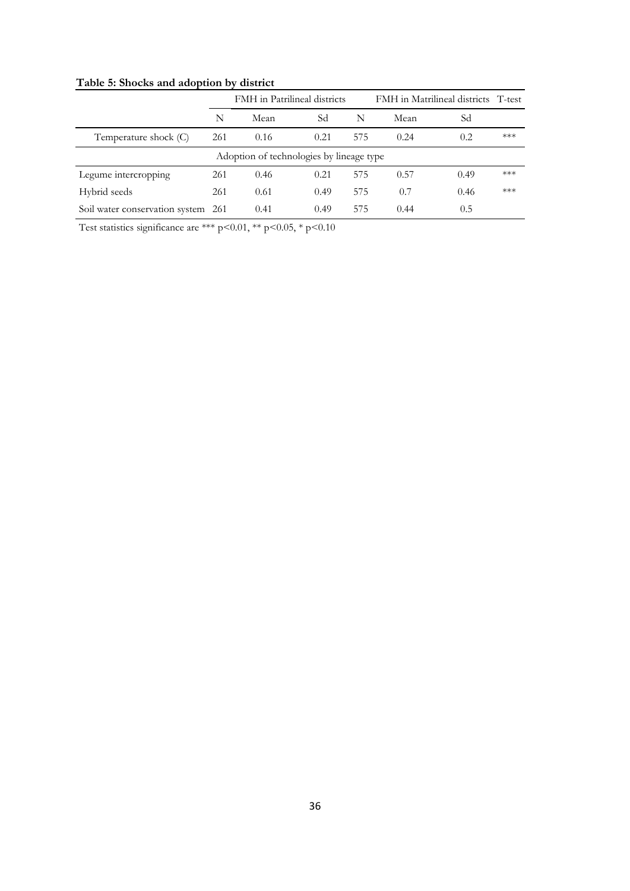|                                |      | <b>FMH</b> in Patrilineal districts      |      |     | FMH in Matrilineal districts T-test |      |     |
|--------------------------------|------|------------------------------------------|------|-----|-------------------------------------|------|-----|
|                                | N    | Mean                                     | Sd   | N   | Mean                                | Sd   |     |
| Temperature shock (C)          | 261  | 0.16                                     | 0.21 | 575 | 0.24                                | 0.2  | *** |
|                                |      | Adoption of technologies by lineage type |      |     |                                     |      |     |
| Legume intercropping           | 261  | 0.46                                     | 0.21 | 575 | 0.57                                | 0.49 | *** |
| Hybrid seeds                   | 261  | 0.61                                     | 0.49 | 575 | 0.7                                 | 0.46 | *** |
| Soil water conservation system | -261 | 0.41                                     | 0.49 | 575 | 0.44                                | 0.5  |     |

**Table 5: Shocks and adoption by district**

Test statistics significance are \*\*\* p<0.01, \*\* p<0.05, \* p<0.10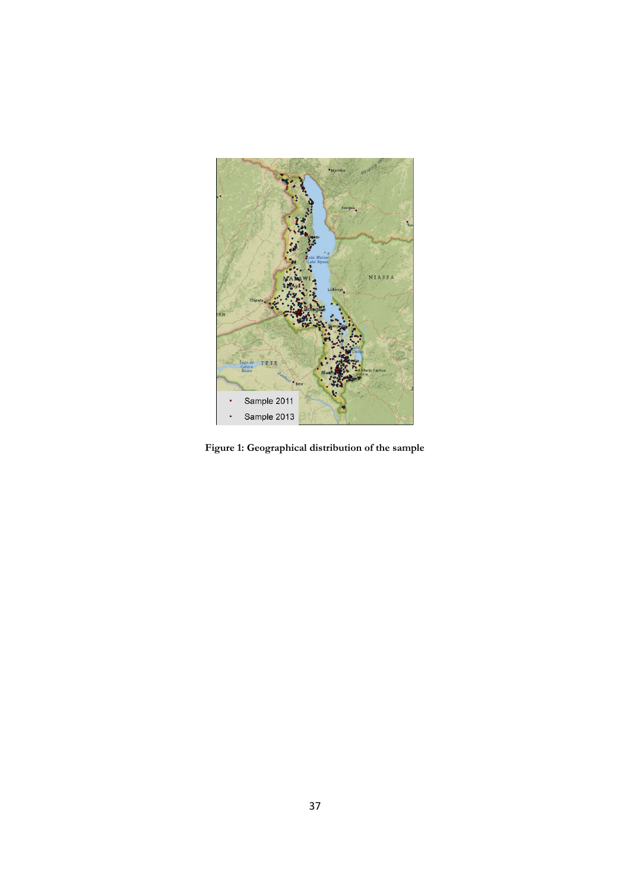

**Figure 1: Geographical distribution of the sample**